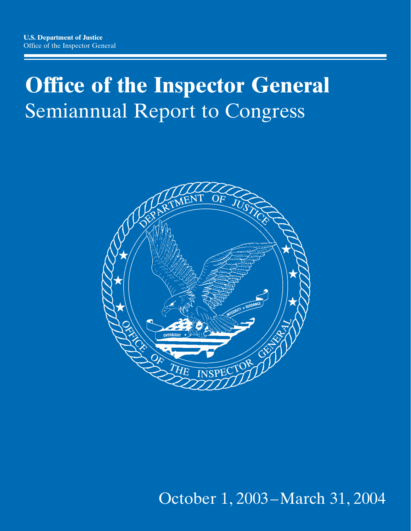# **Office of the Inspector General** Semiannual Report to Congress



*October 1, 2003–March 31, 2004* October 1, 2003–March 31, 2004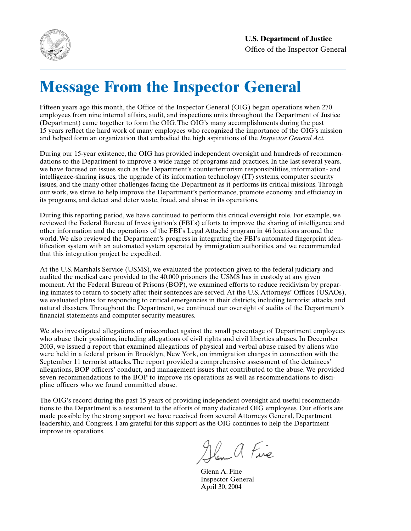

# **Message From the Inspector General**

Fifteen years ago this month, the Office of the Inspector General (OIG) began operations when 270 employees from nine internal affairs, audit, and inspections units throughout the Department of Justice (Department) came together to form the OIG. The OIG's many accomplishments during the past 15 years reflect the hard work of many employees who recognized the importance of the OIG's mission and helped form an organization that embodied the high aspirations of the *Inspector General Act.*

During our 15-year existence, the OIG has provided independent oversight and hundreds of recommendations to the Department to improve a wide range of programs and practices. In the last several years, we have focused on issues such as the Department's counterterrorism responsibilities, information- and intelligence-sharing issues, the upgrade of its information technology (IT) systems, computer security issues, and the many other challenges facing the Department as it performs its critical missions. Through our work, we strive to help improve the Department's performance, promote economy and efficiency in its programs, and detect and deter waste, fraud, and abuse in its operations.

During this reporting period, we have continued to perform this critical oversight role. For example, we reviewed the Federal Bureau of Investigation's (FBI's) efforts to improve the sharing of intelligence and other information and the operations of the FBI's Legal Attaché program in 46 locations around the world. We also reviewed the Department's progress in integrating the FBI's automated fingerprint identification system with an automated system operated by immigration authorities, and we recommended that this integration project be expedited.

At the U.S. Marshals Service (USMS), we evaluated the protection given to the federal judiciary and audited the medical care provided to the 40,000 prisoners the USMS has in custody at any given moment. At the Federal Bureau of Prisons (BOP), we examined efforts to reduce recidivism by preparing inmates to return to society after their sentences are served. At the U.S. Attorneys' Offices (USAOs), we evaluated plans for responding to critical emergencies in their districts, including terrorist attacks and natural disasters. Throughout the Department, we continued our oversight of audits of the Department's financial statements and computer security measures.

We also investigated allegations of misconduct against the small percentage of Department employees who abuse their positions, including allegations of civil rights and civil liberties abuses. In December 2003, we issued a report that examined allegations of physical and verbal abuse raised by aliens who were held in a federal prison in Brooklyn, New York, on immigration charges in connection with the September 11 terrorist attacks. The report provided a comprehensive assessment of the detainees' allegations, BOP officers' conduct, and management issues that contributed to the abuse. We provided seven recommendations to the BOP to improve its operations as well as recommendations to discipline officers who we found committed abuse.

The OIG's record during the past 15 years of providing independent oversight and useful recommendations to the Department is a testament to the efforts of many dedicated OIG employees. Our efforts are made possible by the strong support we have received from several Attorneys General, Department leadership, and Congress. I am grateful for this support as the OIG continues to help the Department improve its operations.

Glen a Fine

Glenn A. Fine Inspector General April 30, 2004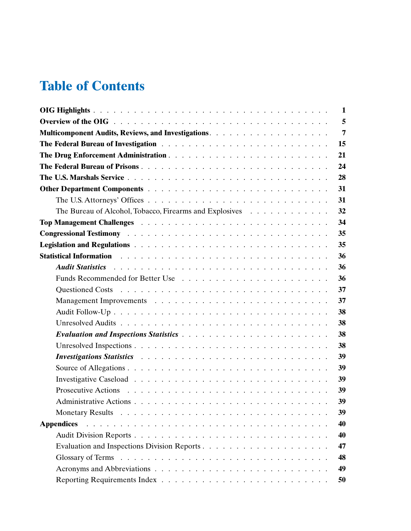## **Table of Contents**

| 1                                                                                                                                           |
|---------------------------------------------------------------------------------------------------------------------------------------------|
| 5                                                                                                                                           |
| $\overline{7}$                                                                                                                              |
| 15                                                                                                                                          |
| 21                                                                                                                                          |
| 24                                                                                                                                          |
| 28                                                                                                                                          |
| 31                                                                                                                                          |
| 31                                                                                                                                          |
| 32<br>The Bureau of Alcohol, Tobacco, Firearms and Explosives                                                                               |
| 34                                                                                                                                          |
| 35                                                                                                                                          |
| 35                                                                                                                                          |
| 36                                                                                                                                          |
| 36<br>Audit Statistics Audit Containment of the Containment of the Containment of the Containing Audit Contains and                         |
| 36                                                                                                                                          |
| 37                                                                                                                                          |
| 37                                                                                                                                          |
| 38                                                                                                                                          |
| 38                                                                                                                                          |
| 38<br><b>Evaluation and Inspections Statistics </b>                                                                                         |
| 38                                                                                                                                          |
| 39<br>Investigations Statistics resources and contact the contact of the contact of the contact of the contact of the                       |
| 39                                                                                                                                          |
| 39                                                                                                                                          |
| 39                                                                                                                                          |
| 39                                                                                                                                          |
| 39                                                                                                                                          |
| <b>Appendices</b><br>and the company of the company of the company of the company of the company of the company of the company of the<br>40 |
| 40                                                                                                                                          |
| 47                                                                                                                                          |
| 48                                                                                                                                          |
| 49                                                                                                                                          |
| 50                                                                                                                                          |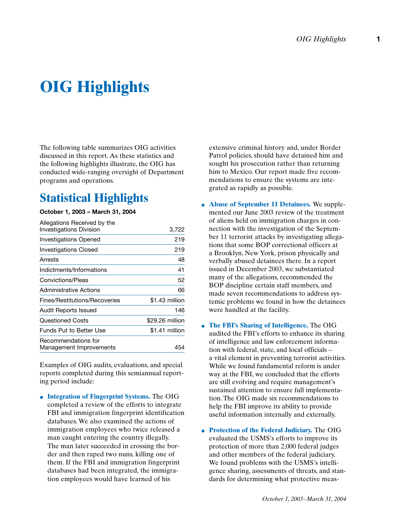# **OIG Highlights**

The following table summarizes OIG activities discussed in this report. As these statistics and the following highlights illustrate, the OIG has conducted wide-ranging oversight of Department programs and operations.

## **Statistical Highlights**

#### **October 1, 2003 – March 31, 2004**

| Allegations Received by the<br><b>Investigations Division</b> | 3,722           |
|---------------------------------------------------------------|-----------------|
| Investigations Opened                                         | 219             |
| <b>Investigations Closed</b>                                  | 219             |
| Arrests                                                       | 48              |
| Indictments/Informations                                      | 41              |
| Convictions/Pleas                                             | 52              |
| Administrative Actions                                        | 66              |
| Fines/Restitutions/Recoveries                                 | \$1.43 million  |
| Audit Reports Issued                                          | 146             |
| <b>Questioned Costs</b>                                       | \$29.26 million |
| Funds Put to Better Use                                       | \$1.41 million  |
| Recommendations for<br>Management Improvements                | 454             |

Examples of OIG audits, evaluations, and special reports completed during this semiannual reporting period include:

◆ **Integration of Fingerprint Systems.** The OIG completed a review of the efforts to integrate FBI and immigration fingerprint identification databases. We also examined the actions of immigration employees who twice released a man caught entering the country illegally. The man later succeeded in crossing the border and then raped two nuns, killing one of them. If the FBI and immigration fingerprint databases had been integrated, the immigration employees would have learned of his

extensive criminal history and, under Border Patrol policies, should have detained him and sought his prosecution rather than returning him to Mexico. Our report made five recommendations to ensure the systems are integrated as rapidly as possible.

- ◆ **Abuse of September 11 Detainees.** We supplemented our June 2003 review of the treatment of aliens held on immigration charges in connection with the investigation of the September 11 terrorist attacks by investigating allegations that some BOP correctional officers at a Brooklyn, New York, prison physically and verbally abused detainees there. In a report issued in December 2003, we substantiated many of the allegations, recommended the BOP discipline certain staff members, and made seven recommendations to address systemic problems we found in how the detainees were handled at the facility.
- ◆ **The FBI's Sharing of Intelligence.** The OIG audited the FBI's efforts to enhance its sharing of intelligence and law enforcement information with federal, state, and local officials – a vital element in preventing terrorist activities. While we found fundamental reform is under way at the FBI, we concluded that the efforts are still evolving and require management's sustained attention to ensure full implementation. The OIG made six recommendations to help the FBI improve its ability to provide useful information internally and externally.
- ◆ **Protection of the Federal Judiciary.** The OIG evaluated the USMS's efforts to improve its protection of more than 2,000 federal judges and other members of the federal judiciary. We found problems with the USMS's intelligence sharing, assessments of threats, and standards for determining what protective meas-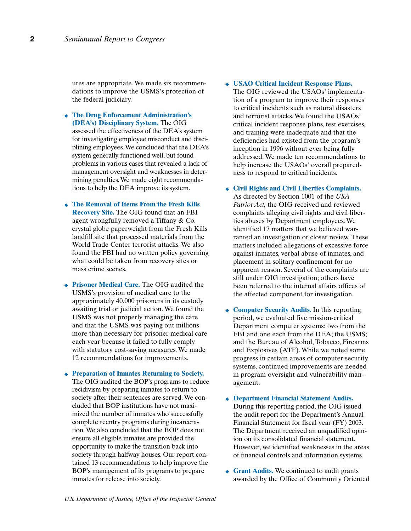ures are appropriate. We made six recommendations to improve the USMS's protection of the federal judiciary.

◆ **The Drug Enforcement Administration's (DEA's) Disciplinary System.** The OIG assessed the effectiveness of the DEA's system for investigating employee misconduct and disciplining employees. We concluded that the DEA's system generally functioned well, but found problems in various cases that revealed a lack of management oversight and weaknesses in determining penalties. We made eight recommendations to help the DEA improve its system.

◆ **The Removal of Items From the Fresh Kills Recovery Site.** The OIG found that an FBI agent wrongfully removed a Tiffany & Co. crystal globe paperweight from the Fresh Kills landfill site that processed materials from the World Trade Center terrorist attacks. We also found the FBI had no written policy governing what could be taken from recovery sites or mass crime scenes.

◆ **Prisoner Medical Care.** The OIG audited the USMS's provision of medical care to the approximately 40,000 prisoners in its custody awaiting trial or judicial action. We found the USMS was not properly managing the care and that the USMS was paying out millions more than necessary for prisoner medical care each year because it failed to fully comply with statutory cost-saving measures. We made 12 recommendations for improvements.

◆ **Preparation of Inmates Returning to Society.** The OIG audited the BOP's programs to reduce recidivism by preparing inmates to return to society after their sentences are served. We concluded that BOP institutions have not maximized the number of inmates who successfully complete reentry programs during incarceration. We also concluded that the BOP does not ensure all eligible inmates are provided the opportunity to make the transition back into society through halfway houses. Our report contained 13 recommendations to help improve the BOP's management of its programs to prepare inmates for release into society.

- ◆ **USAO Critical Incident Response Plans.** The OIG reviewed the USAOs' implementation of a program to improve their responses to critical incidents such as natural disasters and terrorist attacks. We found the USAOs' critical incident response plans, test exercises, and training were inadequate and that the deficiencies had existed from the program's inception in 1996 without ever being fully addressed. We made ten recommendations to help increase the USAOs' overall preparedness to respond to critical incidents.
- ◆ **Civil Rights and Civil Liberties Complaints.** As directed by Section 1001 of the *USA Patriot Act,* the OIG received and reviewed complaints alleging civil rights and civil liberties abuses by Department employees. We identified 17 matters that we believed warranted an investigation or closer review. These matters included allegations of excessive force against inmates, verbal abuse of inmates, and placement in solitary confinement for no apparent reason. Several of the complaints are still under OIG investigation; others have been referred to the internal affairs offices of the affected component for investigation.
- ◆ **Computer Security Audits.** In this reporting period, we evaluated five mission-critical Department computer systems: two from the FBI and one each from the DEA; the USMS; and the Bureau of Alcohol, Tobacco, Firearms and Explosives (ATF). While we noted some progress in certain areas of computer security systems, continued improvements are needed in program oversight and vulnerability management.
- ◆ **Department Financial Statement Audits.** During this reporting period, the OIG issued the audit report for the Department's Annual Financial Statement for fiscal year (FY) 2003. The Department received an unqualified opinion on its consolidated financial statement. However, we identified weaknesses in the areas of financial controls and information systems.
- ◆ **Grant Audits.** We continued to audit grants awarded by the Office of Community Oriented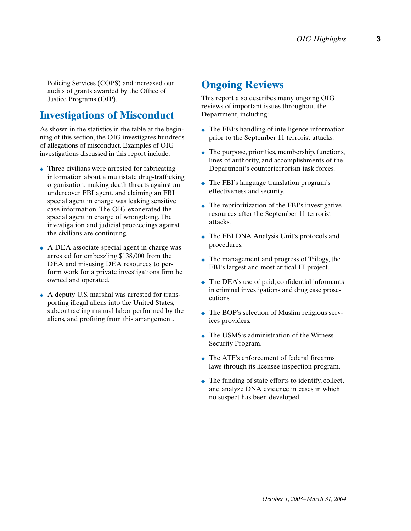Policing Services (COPS) and increased our audits of grants awarded by the Office of Justice Programs (OJP).

## **Investigations of Misconduct**

As shown in the statistics in the table at the beginning of this section, the OIG investigates hundreds of allegations of misconduct. Examples of OIG investigations discussed in this report include:

- ◆ Three civilians were arrested for fabricating information about a multistate drug-trafficking organization, making death threats against an undercover FBI agent, and claiming an FBI special agent in charge was leaking sensitive case information. The OIG exonerated the special agent in charge of wrongdoing. The investigation and judicial proceedings against the civilians are continuing.
- ◆ A DEA associate special agent in charge was arrested for embezzling \$138,000 from the DEA and misusing DEA resources to perform work for a private investigations firm he owned and operated.
- ◆ A deputy U.S. marshal was arrested for transporting illegal aliens into the United States, subcontracting manual labor performed by the aliens, and profiting from this arrangement.

## **Ongoing Reviews**

This report also describes many ongoing OIG reviews of important issues throughout the Department, including:

- ◆ The FBI's handling of intelligence information prior to the September 11 terrorist attacks.
- $\bullet$  The purpose, priorities, membership, functions, lines of authority, and accomplishments of the Department's counterterrorism task forces.
- ◆ The FBI's language translation program's effectiveness and security.
- $\bullet$  The reprioritization of the FBI's investigative resources after the September 11 terrorist attacks.
- ◆ The FBI DNA Analysis Unit's protocols and procedures.
- The management and progress of Trilogy, the FBI's largest and most critical IT project.
- $\bullet$  The DEA's use of paid, confidential informants in criminal investigations and drug case prosecutions.
- ◆ The BOP's selection of Muslim religious services providers.
- ◆ The USMS's administration of the Witness Security Program.
- ◆ The ATF's enforcement of federal firearms laws through its licensee inspection program.
- $\bullet$  The funding of state efforts to identify, collect, and analyze DNA evidence in cases in which no suspect has been developed.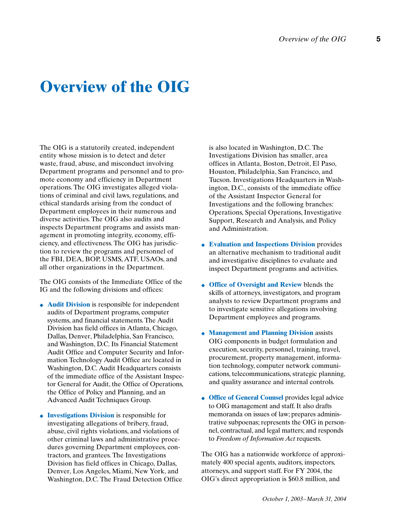## **Overview of the OIG**

The OIG is a statutorily created, independent entity whose mission is to detect and deter waste, fraud, abuse, and misconduct involving Department programs and personnel and to promote economy and efficiency in Department operations. The OIG investigates alleged violations of criminal and civil laws, regulations, and ethical standards arising from the conduct of Department employees in their numerous and diverse activities. The OIG also audits and inspects Department programs and assists management in promoting integrity, economy, efficiency, and effectiveness. The OIG has jurisdiction to review the programs and personnel of the FBI, DEA, BOP, USMS, ATF, USAOs, and all other organizations in the Department.

The OIG consists of the Immediate Office of the IG and the following divisions and offices:

- ◆ **Audit Division** is responsible for independent audits of Department programs, computer systems, and financial statements. The Audit Division has field offices in Atlanta, Chicago, Dallas, Denver, Philadelphia, San Francisco, and Washington, D.C. Its Financial Statement Audit Office and Computer Security and Information Technology Audit Office are located in Washington, D.C. Audit Headquarters consists of the immediate office of the Assistant Inspector General for Audit, the Office of Operations, the Office of Policy and Planning, and an Advanced Audit Techniques Group.
- ◆ **Investigations Division** is responsible for investigating allegations of bribery, fraud, abuse, civil rights violations, and violations of other criminal laws and administrative procedures governing Department employees, contractors, and grantees. The Investigations Division has field offices in Chicago, Dallas, Denver, Los Angeles, Miami, New York, and Washington, D.C. The Fraud Detection Office

is also located in Washington, D.C. The Investigations Division has smaller, area offices in Atlanta, Boston, Detroit, El Paso, Houston, Philadelphia, San Francisco, and Tucson. Investigations Headquarters in Washington, D.C., consists of the immediate office of the Assistant Inspector General for Investigations and the following branches: Operations, Special Operations, Investigative Support, Research and Analysis, and Policy and Administration.

- ◆ **Evaluation and Inspections Division** provides an alternative mechanism to traditional audit and investigative disciplines to evaluate and inspect Department programs and activities.
- ◆ **Office of Oversight and Review** blends the skills of attorneys, investigators, and program analysts to review Department programs and to investigate sensitive allegations involving Department employees and programs.
- ◆ **Management and Planning Division** assists OIG components in budget formulation and execution, security, personnel, training, travel, procurement, property management, information technology, computer network communications, telecommunications, strategic planning, and quality assurance and internal controls.
- ◆ **Office of General Counsel** provides legal advice to OIG management and staff. It also drafts memoranda on issues of law; prepares administrative subpoenas; represents the OIG in personnel, contractual, and legal matters; and responds to *Freedom of Information Act* requests.

The OIG has a nationwide workforce of approximately 400 special agents, auditors, inspectors, attorneys, and support staff. For FY 2004, the OIG's direct appropriation is \$60.8 million, and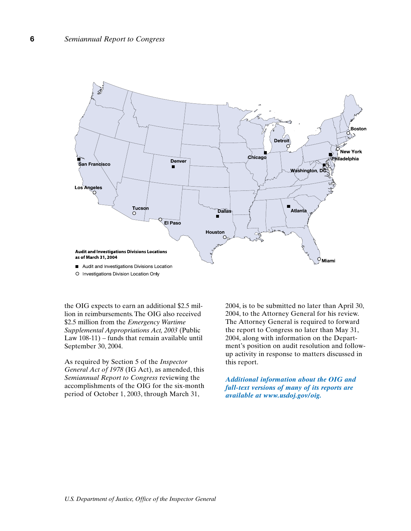

O Investigations Division Location Only

the OIG expects to earn an additional \$2.5 million in reimbursements. The OIG also received \$2.5 million from the *Emergency Wartime Supplemental Appropriations Act, 2003* (Public Law 108-11) – funds that remain available until September 30, 2004.

As required by Section 5 of the *Inspector General Act of 1978* (IG Act), as amended, this *Semiannual Report to Congress* reviewing the accomplishments of the OIG for the six-month period of October 1, 2003, through March 31,

2004, is to be submitted no later than April 30, 2004, to the Attorney General for his review. The Attorney General is required to forward the report to Congress no later than May 31, 2004, along with information on the Department's position on audit resolution and followup activity in response to matters discussed in this report.

*Additional information about the OIG and full-text versions of many of its reports are available at www.usdoj.gov/oig.*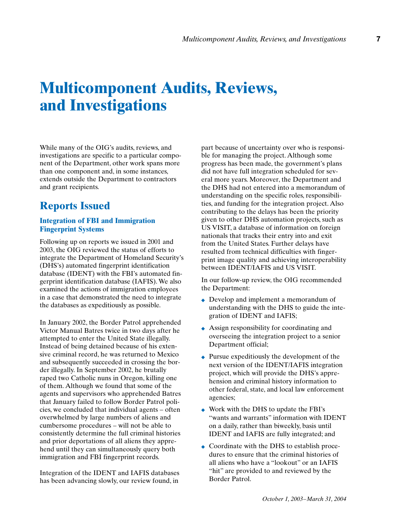## **Multicomponent Audits, Reviews, and Investigations**

While many of the OIG's audits, reviews, and investigations are specific to a particular component of the Department, other work spans more than one component and, in some instances, extends outside the Department to contractors and grant recipients.

## **Reports Issued**

### **Integration of FBI and Immigration Fingerprint Systems**

Following up on reports we issued in 2001 and 2003, the OIG reviewed the status of efforts to integrate the Department of Homeland Security's (DHS's) automated fingerprint identification database (IDENT) with the FBI's automated fingerprint identification database (IAFIS). We also examined the actions of immigration employees in a case that demonstrated the need to integrate the databases as expeditiously as possible.

In January 2002, the Border Patrol apprehended Victor Manual Batres twice in two days after he attempted to enter the United State illegally. Instead of being detained because of his extensive criminal record, he was returned to Mexico and subsequently succeeded in crossing the border illegally. In September 2002, he brutally raped two Catholic nuns in Oregon, killing one of them. Although we found that some of the agents and supervisors who apprehended Batres that January failed to follow Border Patrol policies, we concluded that individual agents – often overwhelmed by large numbers of aliens and cumbersome procedures – will not be able to consistently determine the full criminal histories and prior deportations of all aliens they apprehend until they can simultaneously query both immigration and FBI fingerprint records.

Integration of the IDENT and IAFIS databases has been advancing slowly, our review found, in

part because of uncertainty over who is responsible for managing the project. Although some progress has been made, the government's plans did not have full integration scheduled for several more years. Moreover, the Department and the DHS had not entered into a memorandum of understanding on the specific roles, responsibilities, and funding for the integration project. Also contributing to the delays has been the priority given to other DHS automation projects, such as US VISIT, a database of information on foreign nationals that tracks their entry into and exit from the United States. Further delays have resulted from technical difficulties with fingerprint image quality and achieving interoperability between IDENT/IAFIS and US VISIT.

In our follow-up review, the OIG recommended the Department:

- ◆ Develop and implement a memorandum of understanding with the DHS to guide the integration of IDENT and IAFIS;
- ◆ Assign responsibility for coordinating and overseeing the integration project to a senior Department official;
- ◆ Pursue expeditiously the development of the next version of the IDENT/IAFIS integration project, which will provide the DHS's apprehension and criminal history information to other federal, state, and local law enforcement agencies;
- ◆ Work with the DHS to update the FBI's "wants and warrants" information with IDENT on a daily, rather than biweekly, basis until IDENT and IAFIS are fully integrated; and
- ◆ Coordinate with the DHS to establish procedures to ensure that the criminal histories of all aliens who have a "lookout" or an IAFIS "hit" are provided to and reviewed by the Border Patrol.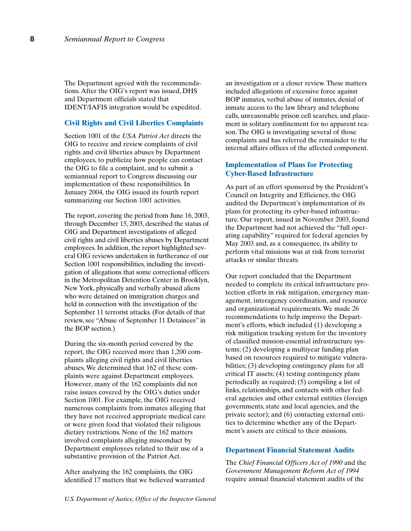The Department agreed with the recommendations. After the OIG's report was issued, DHS and Department officials stated that IDENT/IAFIS integration would be expedited.

#### **Civil Rights and Civil Liberties Complaints**

Section 1001 of the *USA Patriot Act* directs the OIG to receive and review complaints of civil rights and civil liberties abuses by Department employees, to publicize how people can contact the OIG to file a complaint, and to submit a semiannual report to Congress discussing our implementation of these responsibilities. In January 2004, the OIG issued its fourth report summarizing our Section 1001 activities.

The report, covering the period from June 16, 2003, through December 15, 2003, described the status of OIG and Department investigations of alleged civil rights and civil liberties abuses by Department employees. In addition, the report highlighted several OIG reviews undertaken in furtherance of our Section 1001 responsibilities, including the investigation of allegations that some correctional officers in the Metropolitan Detention Center in Brooklyn, New York, physically and verbally abused aliens who were detained on immigration charges and held in connection with the investigation of the September 11 terrorist attacks. (For details of that review, see "Abuse of September 11 Detainees" in the BOP section.)

During the six-month period covered by the report, the OIG received more than 1,200 complaints alleging civil rights and civil liberties abuses. We determined that 162 of these complaints were against Department employees. However, many of the 162 complaints did not raise issues covered by the OIG's duties under Section 1001. For example, the OIG received numerous complaints from inmates alleging that they have not received appropriate medical care or were given food that violated their religious dietary restrictions. None of the 162 matters involved complaints alleging misconduct by Department employees related to their use of a substantive provision of the Patriot Act.

After analyzing the 162 complaints, the OIG identified 17 matters that we believed warranted

an investigation or a closer review. These matters included allegations of excessive force against BOP inmates, verbal abuse of inmates, denial of inmate access to the law library and telephone calls, unreasonable prison cell searches, and placement in solitary confinement for no apparent reason. The OIG is investigating several of those complaints and has referred the remainder to the internal affairs offices of the affected component.

#### **Implementation of Plans for Protecting Cyber-Based Infrastructure**

As part of an effort sponsored by the President's Council on Integrity and Efficiency, the OIG audited the Department's implementation of its plans for protecting its cyber-based infrastructure. Our report, issued in November 2003, found the Department had not achieved the "full operating capability" required for federal agencies by May 2003 and, as a consequence, its ability to perform vital missions was at risk from terrorist attacks or similar threats.

Our report concluded that the Department needed to complete its critical infrastructure protection efforts in risk mitigation, emergency management, interagency coordination, and resource and organizational requirements. We made 26 recommendations to help improve the Department's efforts, which included (1) developing a risk mitigation tracking system for the inventory of classified mission-essential infrastructure systems; (2) developing a multiyear funding plan based on resources required to mitigate vulnerabilities; (3) developing contingency plans for all critical IT assets; (4) testing contingency plans periodically as required; (5) compiling a list of links, relationships, and contacts with other federal agencies and other external entities (foreign governments, state and local agencies, and the private sector); and (6) contacting external entities to determine whether any of the Department's assets are critical to their missions.

## **Department Financial Statement Audits**

The *Chief Financial Officers Act of 1990* and the *Government Management Reform Act of 1994* require annual financial statement audits of the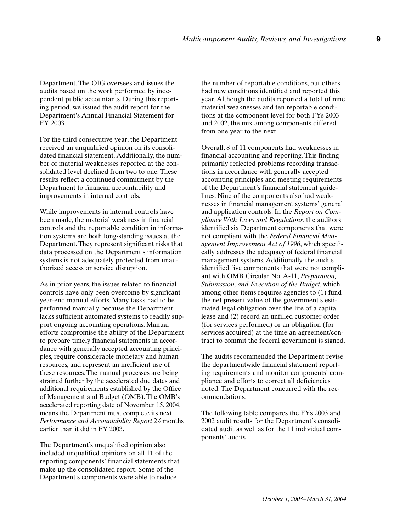Department. The OIG oversees and issues the audits based on the work performed by independent public accountants. During this reporting period, we issued the audit report for the Department's Annual Financial Statement for FY 2003.

For the third consecutive year, the Department received an unqualified opinion on its consolidated financial statement. Additionally, the number of material weaknesses reported at the consolidated level declined from two to one. These results reflect a continued commitment by the Department to financial accountability and improvements in internal controls.

While improvements in internal controls have been made, the material weakness in financial controls and the reportable condition in information systems are both long-standing issues at the Department. They represent significant risks that data processed on the Department's information systems is not adequately protected from unauthorized access or service disruption.

As in prior years, the issues related to financial controls have only been overcome by significant year-end manual efforts. Many tasks had to be performed manually because the Department lacks sufficient automated systems to readily support ongoing accounting operations. Manual efforts compromise the ability of the Department to prepare timely financial statements in accordance with generally accepted accounting principles, require considerable monetary and human resources, and represent an inefficient use of these resources. The manual processes are being strained further by the accelerated due dates and additional requirements established by the Office of Management and Budget (OMB). The OMB's accelerated reporting date of November 15, 2004, means the Department must complete its next Performance and Accountability Report 2<sup>1/2</sup> months earlier than it did in FY 2003.

The Department's unqualified opinion also included unqualified opinions on all 11 of the reporting components' financial statements that make up the consolidated report. Some of the Department's components were able to reduce

the number of reportable conditions, but others had new conditions identified and reported this year. Although the audits reported a total of nine material weaknesses and ten reportable conditions at the component level for both FYs 2003 and 2002, the mix among components differed from one year to the next.

Overall, 8 of 11 components had weaknesses in financial accounting and reporting. This finding primarily reflected problems recording transactions in accordance with generally accepted accounting principles and meeting requirements of the Department's financial statement guidelines. Nine of the components also had weaknesses in financial management systems' general and application controls. In the *Report on Compliance With Laws and Regulations*, the auditors identified six Department components that were not compliant with the *Federal Financial Management Improvement Act of 1996*, which specifically addresses the adequacy of federal financial management systems. Additionally, the audits identified five components that were not compliant with OMB Circular No. A-11, *Preparation, Submission, and Execution of the Budget*, which among other items requires agencies to (1) fund the net present value of the government's estimated legal obligation over the life of a capital lease and (2) record an unfilled customer order (for services performed) or an obligation (for services acquired) at the time an agreement/contract to commit the federal government is signed.

The audits recommended the Department revise the departmentwide financial statement reporting requirements and monitor components' compliance and efforts to correct all deficiencies noted. The Department concurred with the recommendations.

The following table compares the FYs 2003 and 2002 audit results for the Department's consolidated audit as well as for the 11 individual components' audits.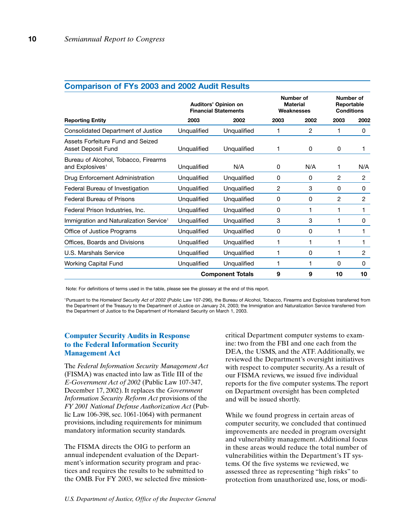|                                                                     | Auditors' Opinion on<br><b>Financial Statements</b> |                         | Number of<br><b>Material</b><br>Weaknesses |              | Number of<br>Reportable<br><b>Conditions</b> |                |
|---------------------------------------------------------------------|-----------------------------------------------------|-------------------------|--------------------------------------------|--------------|----------------------------------------------|----------------|
| <b>Reporting Entity</b>                                             | 2003                                                | 2002                    | 2003                                       | 2002         | 2003                                         | 2002           |
| Consolidated Department of Justice                                  | Unqualified                                         | Unqualified             |                                            | 2            |                                              | 0              |
| Assets Forfeiture Fund and Seized<br>Asset Deposit Fund             | Unqualified                                         | Unqualified             | 1                                          | 0            | 0                                            | 1              |
| Bureau of Alcohol, Tobacco, Firearms<br>and Explosives <sup>1</sup> | Unqualified                                         | N/A                     | 0                                          | N/A          | 1                                            | N/A            |
| Drug Enforcement Administration                                     | Unqualified                                         | Unqualified             | 0                                          | 0            | $\overline{2}$                               | $\overline{2}$ |
| Federal Bureau of Investigation                                     | Unqualified                                         | Unqualified             | 2                                          | 3            | 0                                            | 0              |
| <b>Federal Bureau of Prisons</b>                                    | Unqualified                                         | Unqualified             | 0                                          | 0            | $\overline{c}$                               | $\overline{2}$ |
| Federal Prison Industries, Inc.                                     | Unqualified                                         | Unqualified             | 0                                          | 1            | 1                                            | 1              |
| Immigration and Naturalization Service <sup>1</sup>                 | Unqualified                                         | Unqualified             | 3                                          | 3            | 1                                            | 0              |
| Office of Justice Programs                                          | Unqualified                                         | Unqualified             | 0                                          | 0            |                                              | 1              |
| Offices, Boards and Divisions                                       | Unqualified                                         | Unqualified             | 1                                          | $\mathbf{1}$ |                                              | 1              |
| U.S. Marshals Service                                               | Unqualified                                         | Unqualified             | 1                                          | 0            | 1                                            | $\overline{2}$ |
| Working Capital Fund                                                | Unqualified                                         | Unqualified             | 1                                          | 1            | 0                                            | 0              |
|                                                                     |                                                     | <b>Component Totals</b> | 9                                          | 9            | 10                                           | 10             |

## **Comparison of FYs 2003 and 2002 Audit Results**

Note: For definitions of terms used in the table, please see the glossary at the end of this report.

1Pursuant to the *Homeland Security Act of 2002* (Public Law 107-296), the Bureau of Alcohol, Tobacco, Firearms and Explosives transferred from the Department of the Treasury to the Department of Justice on January 24, 2003; the Immigration and Naturalization Service transferred from the Department of Justice to the Department of Homeland Security on March 1, 2003.

### **Computer Security Audits in Response to the Federal Information Security Management Act**

The *Federal Information Security Management Act* (FISMA) was enacted into law as Title III of the *E-Government Act of 2002* (Public Law 107-347, December 17, 2002). It replaces the *Government Information Security Reform Act* provisions of the *FY 2001 National Defense Authorization Act* (Public Law 106-398, sec. 1061-1064) with permanent provisions, including requirements for minimum mandatory information security standards.

The FISMA directs the OIG to perform an annual independent evaluation of the Department's information security program and practices and requires the results to be submitted to the OMB. For FY 2003, we selected five mission-

critical Department computer systems to examine: two from the FBI and one each from the DEA, the USMS, and the ATF. Additionally, we reviewed the Department's oversight initiatives with respect to computer security. As a result of our FISMA reviews, we issued five individual reports for the five computer systems. The report on Department oversight has been completed and will be issued shortly.

While we found progress in certain areas of computer security, we concluded that continued improvements are needed in program oversight and vulnerability management. Additional focus in these areas would reduce the total number of vulnerabilities within the Department's IT systems. Of the five systems we reviewed, we assessed three as representing "high risks" to protection from unauthorized use, loss, or modi-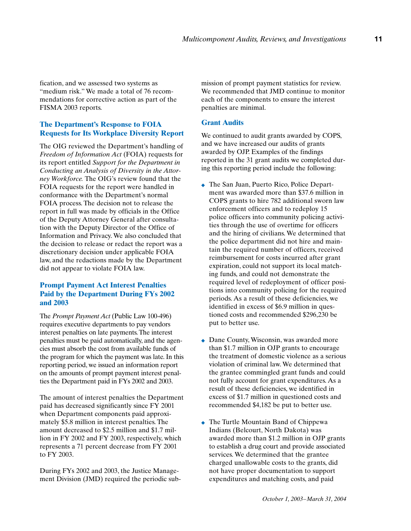fication, and we assessed two systems as "medium risk." We made a total of 76 recommendations for corrective action as part of the FISMA 2003 reports.

## **The Department's Response to FOIA Requests for Its Workplace Diversity Report**

The OIG reviewed the Department's handling of *Freedom of Information Act* (FOIA) requests for its report entitled *Support for the Department in Conducting an Analysis of Diversity in the Attorney Workforce.* The OIG's review found that the FOIA requests for the report were handled in conformance with the Department's normal FOIA process. The decision not to release the report in full was made by officials in the Office of the Deputy Attorney General after consultation with the Deputy Director of the Office of Information and Privacy. We also concluded that the decision to release or redact the report was a discretionary decision under applicable FOIA law, and the redactions made by the Department did not appear to violate FOIA law.

## **Prompt Payment Act Interest Penalties Paid by the Department During FYs 2002 and 2003**

The *Prompt Payment Act* (Public Law 100-496) requires executive departments to pay vendors interest penalties on late payments. The interest penalties must be paid automatically, and the agencies must absorb the cost from available funds of the program for which the payment was late. In this reporting period, we issued an information report on the amounts of prompt payment interest penalties the Department paid in FYs 2002 and 2003.

The amount of interest penalties the Department paid has decreased significantly since FY 2001 when Department components paid approximately \$5.8 million in interest penalties. The amount decreased to \$2.5 million and \$1.7 million in FY 2002 and FY 2003, respectively, which represents a 71 percent decrease from FY 2001 to FY 2003.

During FYs 2002 and 2003, the Justice Management Division (JMD) required the periodic submission of prompt payment statistics for review. We recommended that JMD continue to monitor each of the components to ensure the interest penalties are minimal.

#### **Grant Audits**

We continued to audit grants awarded by COPS, and we have increased our audits of grants awarded by OJP. Examples of the findings reported in the 31 grant audits we completed during this reporting period include the following:

- ◆ The San Juan, Puerto Rico, Police Department was awarded more than \$37.6 million in COPS grants to hire 782 additional sworn law enforcement officers and to redeploy 15 police officers into community policing activities through the use of overtime for officers and the hiring of civilians. We determined that the police department did not hire and maintain the required number of officers, received reimbursement for costs incurred after grant expiration, could not support its local matching funds, and could not demonstrate the required level of redeployment of officer positions into community policing for the required periods. As a result of these deficiencies, we identified in excess of \$6.9 million in questioned costs and recommended \$296,230 be put to better use.
- ◆ Dane County, Wisconsin, was awarded more than \$1.7 million in OJP grants to encourage the treatment of domestic violence as a serious violation of criminal law. We determined that the grantee commingled grant funds and could not fully account for grant expenditures. As a result of these deficiencies, we identified in excess of \$1.7 million in questioned costs and recommended \$4,182 be put to better use.
- ◆ The Turtle Mountain Band of Chippewa Indians (Belcourt, North Dakota) was awarded more than \$1.2 million in OJP grants to establish a drug court and provide associated services. We determined that the grantee charged unallowable costs to the grants, did not have proper documentation to support expenditures and matching costs, and paid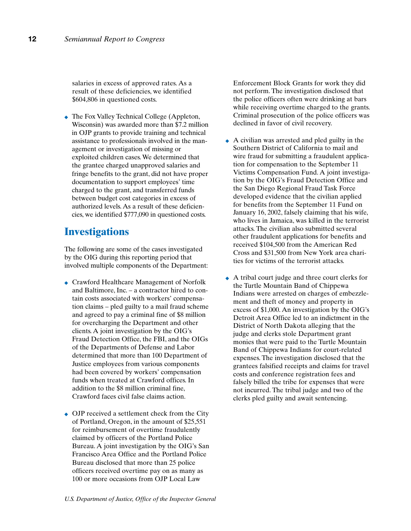salaries in excess of approved rates. As a result of these deficiencies, we identified \$604,806 in questioned costs.

◆ The Fox Valley Technical College (Appleton, Wisconsin) was awarded more than \$7.2 million in OJP grants to provide training and technical assistance to professionals involved in the management or investigation of missing or exploited children cases. We determined that the grantee charged unapproved salaries and fringe benefits to the grant, did not have proper documentation to support employees' time charged to the grant, and transferred funds between budget cost categories in excess of authorized levels. As a result of these deficiencies, we identified \$777,090 in questioned costs.

## **Investigations**

The following are some of the cases investigated by the OIG during this reporting period that involved multiple components of the Department:

- ◆ Crawford Healthcare Management of Norfolk and Baltimore, Inc. – a contractor hired to contain costs associated with workers' compensation claims – pled guilty to a mail fraud scheme and agreed to pay a criminal fine of \$8 million for overcharging the Department and other clients. A joint investigation by the OIG's Fraud Detection Office, the FBI, and the OIGs of the Departments of Defense and Labor determined that more than 100 Department of Justice employees from various components had been covered by workers' compensation funds when treated at Crawford offices. In addition to the \$8 million criminal fine, Crawford faces civil false claims action.
- ◆ OJP received a settlement check from the City of Portland, Oregon, in the amount of \$25,551 for reimbursement of overtime fraudulently claimed by officers of the Portland Police Bureau. A joint investigation by the OIG's San Francisco Area Office and the Portland Police Bureau disclosed that more than 25 police officers received overtime pay on as many as 100 or more occasions from OJP Local Law

Enforcement Block Grants for work they did not perform. The investigation disclosed that the police officers often were drinking at bars while receiving overtime charged to the grants. Criminal prosecution of the police officers was declined in favor of civil recovery.

- ◆ A civilian was arrested and pled guilty in the Southern District of California to mail and wire fraud for submitting a fraudulent application for compensation to the September 11 Victims Compensation Fund. A joint investigation by the OIG's Fraud Detection Office and the San Diego Regional Fraud Task Force developed evidence that the civilian applied for benefits from the September 11 Fund on January 16, 2002, falsely claiming that his wife, who lives in Jamaica, was killed in the terrorist attacks. The civilian also submitted several other fraudulent applications for benefits and received \$104,500 from the American Red Cross and \$31,500 from New York area charities for victims of the terrorist attacks.
- ◆ A tribal court judge and three court clerks for the Turtle Mountain Band of Chippewa Indians were arrested on charges of embezzlement and theft of money and property in excess of \$1,000. An investigation by the OIG's Detroit Area Office led to an indictment in the District of North Dakota alleging that the judge and clerks stole Department grant monies that were paid to the Turtle Mountain Band of Chippewa Indians for court-related expenses. The investigation disclosed that the grantees falsified receipts and claims for travel costs and conference registration fees and falsely billed the tribe for expenses that were not incurred. The tribal judge and two of the clerks pled guilty and await sentencing.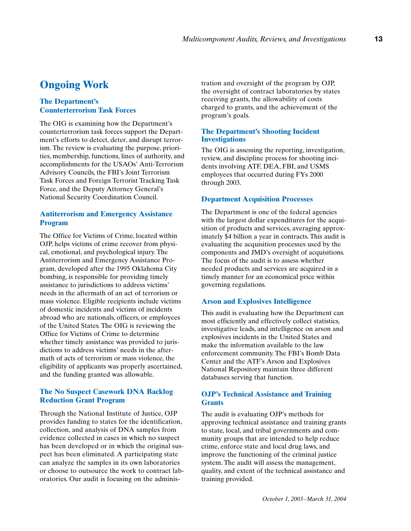## **Ongoing Work**

## **The Department's Counterterrorism Task Forces**

The OIG is examining how the Department's counterterrorism task forces support the Department's efforts to detect, deter, and disrupt terrorism. The review is evaluating the purpose, priorities, membership, functions, lines of authority, and accomplishments for the USAOs' Anti-Terrorism Advisory Councils, the FBI's Joint Terrorism Task Forces and Foreign Terrorist Tracking Task Force, and the Deputy Attorney General's National Security Coordination Council.

## **Antiterrorism and Emergency Assistance Program**

The Office for Victims of Crime, located within OJP, helps victims of crime recover from physical, emotional, and psychological injury. The Antiterrorism and Emergency Assistance Program, developed after the 1995 Oklahoma City bombing, is responsible for providing timely assistance to jurisdictions to address victims' needs in the aftermath of an act of terrorism or mass violence. Eligible recipients include victims of domestic incidents and victims of incidents abroad who are nationals, officers, or employees of the United States. The OIG is reviewing the Office for Victims of Crime to determine whether timely assistance was provided to jurisdictions to address victims' needs in the aftermath of acts of terrorism or mass violence, the eligibility of applicants was properly ascertained, and the funding granted was allowable.

### **The No Suspect Casework DNA Backlog Reduction Grant Program**

Through the National Institute of Justice, OJP provides funding to states for the identification, collection, and analysis of DNA samples from evidence collected in cases in which no suspect has been developed or in which the original suspect has been eliminated. A participating state can analyze the samples in its own laboratories or choose to outsource the work to contract laboratories. Our audit is focusing on the administration and oversight of the program by OJP, the oversight of contract laboratories by states receiving grants, the allowability of costs charged to grants, and the achievement of the program's goals.

#### **The Department's Shooting Incident Investigations**

The OIG is assessing the reporting, investigation, review, and discipline process for shooting incidents involving ATF, DEA, FBI, and USMS employees that occurred during FYs 2000 through 2003.

#### **Department Acquisition Processes**

The Department is one of the federal agencies with the largest dollar expenditures for the acquisition of products and services, averaging approximately \$4 billion a year in contracts. This audit is evaluating the acquisition processes used by the components and JMD's oversight of acquisitions. The focus of the audit is to assess whether needed products and services are acquired in a timely manner for an economical price within governing regulations.

#### **Arson and Explosives Intelligence**

This audit is evaluating how the Department can most efficiently and effectively collect statistics, investigative leads, and intelligence on arson and explosives incidents in the United States and make the information available to the law enforcement community. The FBI's Bomb Data Center and the ATF's Arson and Explosives National Repository maintain three different databases serving that function.

### **OJP's Technical Assistance and Training Grants**

The audit is evaluating OJP's methods for approving technical assistance and training grants to state, local, and tribal governments and community groups that are intended to help reduce crime, enforce state and local drug laws, and improve the functioning of the criminal justice system. The audit will assess the management, quality, and extent of the technical assistance and training provided.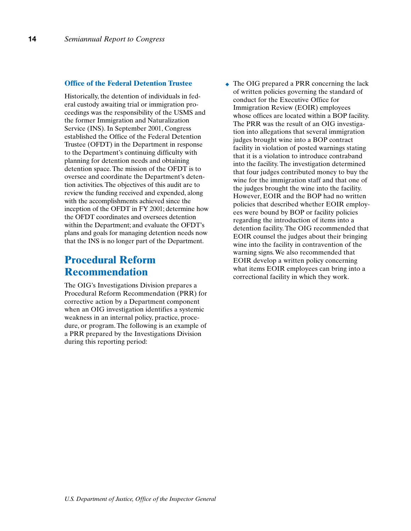#### **Office of the Federal Detention Trustee**

Historically, the detention of individuals in federal custody awaiting trial or immigration proceedings was the responsibility of the USMS and the former Immigration and Naturalization Service (INS). In September 2001, Congress established the Office of the Federal Detention Trustee (OFDT) in the Department in response to the Department's continuing difficulty with planning for detention needs and obtaining detention space. The mission of the OFDT is to oversee and coordinate the Department's detention activities. The objectives of this audit are to review the funding received and expended, along with the accomplishments achieved since the inception of the OFDT in FY 2001; determine how the OFDT coordinates and oversees detention within the Department; and evaluate the OFDT's plans and goals for managing detention needs now that the INS is no longer part of the Department.

## **Procedural Reform Recommendation**

The OIG's Investigations Division prepares a Procedural Reform Recommendation (PRR) for corrective action by a Department component when an OIG investigation identifies a systemic weakness in an internal policy, practice, procedure, or program. The following is an example of a PRR prepared by the Investigations Division during this reporting period:

• The OIG prepared a PRR concerning the lack of written policies governing the standard of conduct for the Executive Office for Immigration Review (EOIR) employees whose offices are located within a BOP facility. The PRR was the result of an OIG investigation into allegations that several immigration judges brought wine into a BOP contract facility in violation of posted warnings stating that it is a violation to introduce contraband into the facility. The investigation determined that four judges contributed money to buy the wine for the immigration staff and that one of the judges brought the wine into the facility. However, EOIR and the BOP had no written policies that described whether EOIR employees were bound by BOP or facility policies regarding the introduction of items into a detention facility. The OIG recommended that EOIR counsel the judges about their bringing wine into the facility in contravention of the warning signs. We also recommended that EOIR develop a written policy concerning what items EOIR employees can bring into a correctional facility in which they work.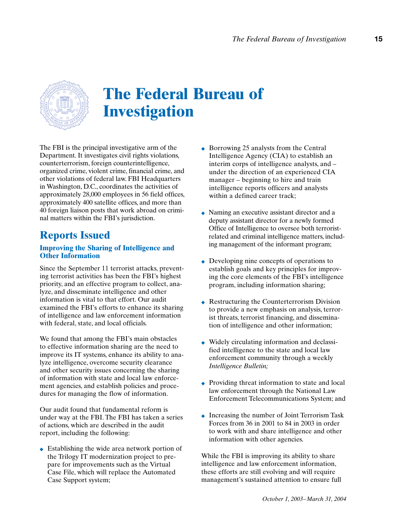

# **The Federal Bureau of Investigation**

The FBI is the principal investigative arm of the Department. It investigates civil rights violations, counterterrorism, foreign counterintelligence, organized crime, violent crime, financial crime, and other violations of federal law. FBI Headquarters in Washington, D.C., coordinates the activities of approximately 28,000 employees in 56 field offices, approximately 400 satellite offices, and more than 40 foreign liaison posts that work abroad on criminal matters within the FBI's jurisdiction.

## **Reports Issued**

## **Improving the Sharing of Intelligence and Other Information**

Since the September 11 terrorist attacks, preventing terrorist activities has been the FBI's highest priority, and an effective program to collect, analyze, and disseminate intelligence and other information is vital to that effort. Our audit examined the FBI's efforts to enhance its sharing of intelligence and law enforcement information with federal, state, and local officials.

We found that among the FBI's main obstacles to effective information sharing are the need to improve its IT systems, enhance its ability to analyze intelligence, overcome security clearance and other security issues concerning the sharing of information with state and local law enforcement agencies, and establish policies and procedures for managing the flow of information.

Our audit found that fundamental reform is under way at the FBI. The FBI has taken a series of actions, which are described in the audit report, including the following:

◆ Establishing the wide area network portion of the Trilogy IT modernization project to prepare for improvements such as the Virtual Case File, which will replace the Automated Case Support system;

- ◆ Borrowing 25 analysts from the Central Intelligence Agency (CIA) to establish an interim corps of intelligence analysts, and – under the direction of an experienced CIA manager – beginning to hire and train intelligence reports officers and analysts within a defined career track;
- ◆ Naming an executive assistant director and a deputy assistant director for a newly formed Office of Intelligence to oversee both terroristrelated and criminal intelligence matters, including management of the informant program;
- ◆ Developing nine concepts of operations to establish goals and key principles for improving the core elements of the FBI's intelligence program, including information sharing;
- ◆ Restructuring the Counterterrorism Division to provide a new emphasis on analysis, terrorist threats, terrorist financing, and dissemination of intelligence and other information;
- ◆ Widely circulating information and declassified intelligence to the state and local law enforcement community through a weekly *Intelligence Bulletin;*
- ◆ Providing threat information to state and local law enforcement through the National Law Enforcement Telecommunications System; and
- ◆ Increasing the number of Joint Terrorism Task Forces from 36 in 2001 to 84 in 2003 in order to work with and share intelligence and other information with other agencies.

While the FBI is improving its ability to share intelligence and law enforcement information, these efforts are still evolving and will require management's sustained attention to ensure full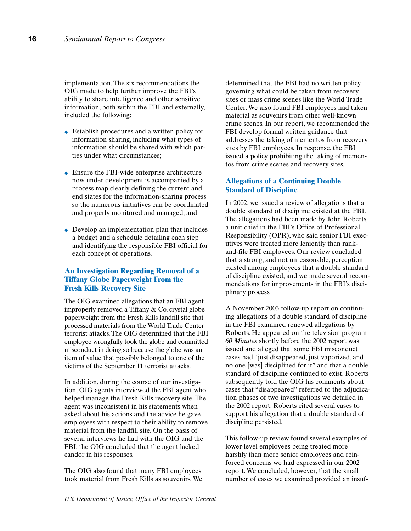implementation. The six recommendations the OIG made to help further improve the FBI's ability to share intelligence and other sensitive information, both within the FBI and externally, included the following:

- ◆ Establish procedures and a written policy for information sharing, including what types of information should be shared with which parties under what circumstances;
- ◆ Ensure the FBI-wide enterprise architecture now under development is accompanied by a process map clearly defining the current and end states for the information-sharing process so the numerous initiatives can be coordinated and properly monitored and managed; and
- ◆ Develop an implementation plan that includes a budget and a schedule detailing each step and identifying the responsible FBI official for each concept of operations.

### **An Investigation Regarding Removal of a Tiffany Globe Paperweight From the Fresh Kills Recovery Site**

The OIG examined allegations that an FBI agent improperly removed a Tiffany & Co. crystal globe paperweight from the Fresh Kills landfill site that processed materials from the World Trade Center terrorist attacks. The OIG determined that the FBI employee wrongfully took the globe and committed misconduct in doing so because the globe was an item of value that possibly belonged to one of the victims of the September 11 terrorist attacks.

In addition, during the course of our investigation, OIG agents interviewed the FBI agent who helped manage the Fresh Kills recovery site. The agent was inconsistent in his statements when asked about his actions and the advice he gave employees with respect to their ability to remove material from the landfill site. On the basis of several interviews he had with the OIG and the FBI, the OIG concluded that the agent lacked candor in his responses.

The OIG also found that many FBI employees took material from Fresh Kills as souvenirs. We

determined that the FBI had no written policy governing what could be taken from recovery sites or mass crime scenes like the World Trade Center. We also found FBI employees had taken material as souvenirs from other well-known crime scenes. In our report, we recommended the FBI develop formal written guidance that addresses the taking of mementos from recovery sites by FBI employees. In response, the FBI issued a policy prohibiting the taking of mementos from crime scenes and recovery sites.

### **Allegations of a Continuing Double Standard of Discipline**

In 2002, we issued a review of allegations that a double standard of discipline existed at the FBI. The allegations had been made by John Roberts, a unit chief in the FBI's Office of Professional Responsibility (OPR), who said senior FBI executives were treated more leniently than rankand-file FBI employees. Our review concluded that a strong, and not unreasonable, perception existed among employees that a double standard of discipline existed, and we made several recommendations for improvements in the FBI's disciplinary process.

A November 2003 follow-up report on continuing allegations of a double standard of discipline in the FBI examined renewed allegations by Roberts. He appeared on the television program *60 Minutes* shortly before the 2002 report was issued and alleged that some FBI misconduct cases had "just disappeared, just vaporized, and no one [was] disciplined for it" and that a double standard of discipline continued to exist. Roberts subsequently told the OIG his comments about cases that "disappeared" referred to the adjudication phases of two investigations we detailed in the 2002 report. Roberts cited several cases to support his allegation that a double standard of discipline persisted.

This follow-up review found several examples of lower-level employees being treated more harshly than more senior employees and reinforced concerns we had expressed in our 2002 report. We concluded, however, that the small number of cases we examined provided an insuf-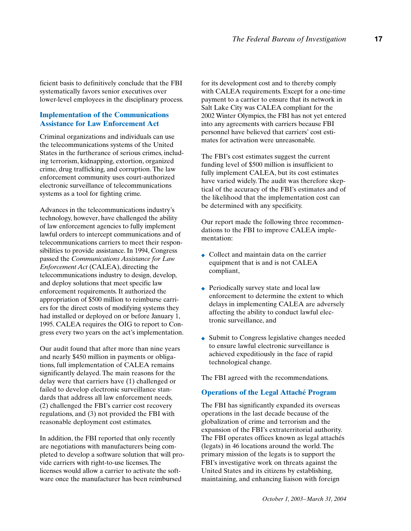ficient basis to definitively conclude that the FBI systematically favors senior executives over lower-level employees in the disciplinary process.

## **Implementation of the Communications Assistance for Law Enforcement Act**

Criminal organizations and individuals can use the telecommunications systems of the United States in the furtherance of serious crimes, including terrorism, kidnapping, extortion, organized crime, drug trafficking, and corruption. The law enforcement community uses court-authorized electronic surveillance of telecommunications systems as a tool for fighting crime.

Advances in the telecommunications industry's technology, however, have challenged the ability of law enforcement agencies to fully implement lawful orders to intercept communications and of telecommunications carriers to meet their responsibilities to provide assistance. In 1994, Congress passed the *Communications Assistance for Law Enforcement Act* (CALEA), directing the telecommunications industry to design, develop, and deploy solutions that meet specific law enforcement requirements. It authorized the appropriation of \$500 million to reimburse carriers for the direct costs of modifying systems they had installed or deployed on or before January 1, 1995. CALEA requires the OIG to report to Congress every two years on the act's implementation.

Our audit found that after more than nine years and nearly \$450 million in payments or obligations, full implementation of CALEA remains significantly delayed. The main reasons for the delay were that carriers have (1) challenged or failed to develop electronic surveillance standards that address all law enforcement needs, (2) challenged the FBI's carrier cost recovery regulations, and (3) not provided the FBI with reasonable deployment cost estimates.

In addition, the FBI reported that only recently are negotiations with manufacturers being completed to develop a software solution that will provide carriers with right-to-use licenses. The licenses would allow a carrier to activate the software once the manufacturer has been reimbursed

for its development cost and to thereby comply with CALEA requirements. Except for a one-time payment to a carrier to ensure that its network in Salt Lake City was CALEA compliant for the 2002 Winter Olympics, the FBI has not yet entered into any agreements with carriers because FBI personnel have believed that carriers' cost estimates for activation were unreasonable.

The FBI's cost estimates suggest the current funding level of \$500 million is insufficient to fully implement CALEA, but its cost estimates have varied widely. The audit was therefore skeptical of the accuracy of the FBI's estimates and of the likelihood that the implementation cost can be determined with any specificity.

Our report made the following three recommendations to the FBI to improve CALEA implementation:

- ◆ Collect and maintain data on the carrier equipment that is and is not CALEA compliant,
- ◆ Periodically survey state and local law enforcement to determine the extent to which delays in implementing CALEA are adversely affecting the ability to conduct lawful electronic surveillance, and
- ◆ Submit to Congress legislative changes needed to ensure lawful electronic surveillance is achieved expeditiously in the face of rapid technological change.

The FBI agreed with the recommendations.

#### **Operations of the Legal Attaché Program**

The FBI has significantly expanded its overseas operations in the last decade because of the globalization of crime and terrorism and the expansion of the FBI's extraterritorial authority. The FBI operates offices known as legal attachés (legats) in 46 locations around the world. The primary mission of the legats is to support the FBI's investigative work on threats against the United States and its citizens by establishing, maintaining, and enhancing liaison with foreign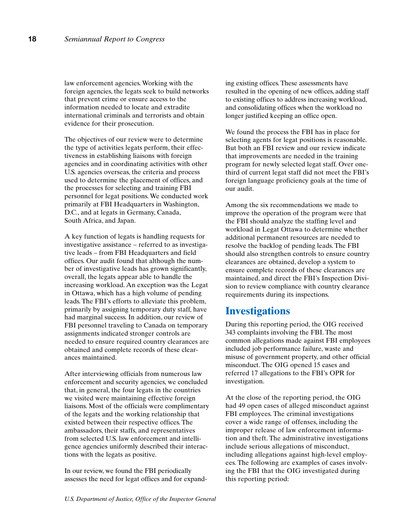law enforcement agencies. Working with the foreign agencies, the legats seek to build networks that prevent crime or ensure access to the information needed to locate and extradite international criminals and terrorists and obtain evidence for their prosecution.

The objectives of our review were to determine the type of activities legats perform, their effectiveness in establishing liaisons with foreign agencies and in coordinating activities with other U.S. agencies overseas, the criteria and process used to determine the placement of offices, and the processes for selecting and training FBI personnel for legat positions. We conducted work primarily at FBI Headquarters in Washington, D.C., and at legats in Germany, Canada, South Africa, and Japan.

A key function of legats is handling requests for investigative assistance – referred to as investigative leads – from FBI Headquarters and field offices. Our audit found that although the number of investigative leads has grown significantly, overall, the legats appear able to handle the increasing workload. An exception was the Legat in Ottawa, which has a high volume of pending leads. The FBI's efforts to alleviate this problem, primarily by assigning temporary duty staff, have had marginal success. In addition, our review of FBI personnel traveling to Canada on temporary assignments indicated stronger controls are needed to ensure required country clearances are obtained and complete records of these clearances maintained.

After interviewing officials from numerous law enforcement and security agencies, we concluded that, in general, the four legats in the countries we visited were maintaining effective foreign liaisons. Most of the officials were complimentary of the legats and the working relationship that existed between their respective offices. The ambassadors, their staffs, and representatives from selected U.S. law enforcement and intelligence agencies uniformly described their interactions with the legats as positive.

In our review, we found the FBI periodically assesses the need for legat offices and for expand-

ing existing offices. These assessments have resulted in the opening of new offices, adding staff to existing offices to address increasing workload, and consolidating offices when the workload no longer justified keeping an office open.

We found the process the FBI has in place for selecting agents for legat positions is reasonable. But both an FBI review and our review indicate that improvements are needed in the training program for newly selected legat staff. Over onethird of current legat staff did not meet the FBI's foreign language proficiency goals at the time of our audit.

Among the six recommendations we made to improve the operation of the program were that the FBI should analyze the staffing level and workload in Legat Ottawa to determine whether additional permanent resources are needed to resolve the backlog of pending leads. The FBI should also strengthen controls to ensure country clearances are obtained, develop a system to ensure complete records of these clearances are maintained, and direct the FBI's Inspection Division to review compliance with country clearance requirements during its inspections.

## **Investigations**

During this reporting period, the OIG received 343 complaints involving the FBI. The most common allegations made against FBI employees included job performance failure, waste and misuse of government property, and other official misconduct. The OIG opened 15 cases and referred 17 allegations to the FBI's OPR for investigation.

At the close of the reporting period, the OIG had 49 open cases of alleged misconduct against FBI employees. The criminal investigations cover a wide range of offenses, including the improper release of law enforcement information and theft. The administrative investigations include serious allegations of misconduct, including allegations against high-level employees. The following are examples of cases involving the FBI that the OIG investigated during this reporting period: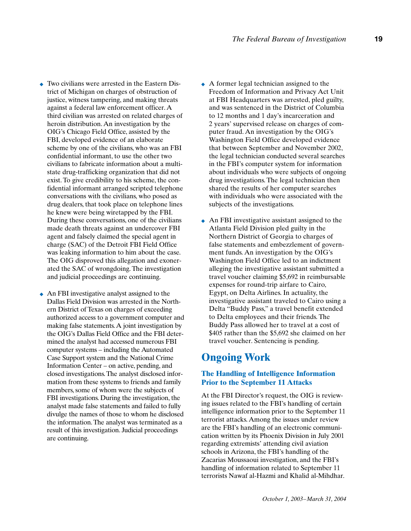- ◆ Two civilians were arrested in the Eastern District of Michigan on charges of obstruction of justice, witness tampering, and making threats against a federal law enforcement officer. A third civilian was arrested on related charges of heroin distribution. An investigation by the OIG's Chicago Field Office, assisted by the FBI, developed evidence of an elaborate scheme by one of the civilians, who was an FBI confidential informant, to use the other two civilians to fabricate information about a multistate drug-trafficking organization that did not exist. To give credibility to his scheme, the confidential informant arranged scripted telephone conversations with the civilians, who posed as drug dealers, that took place on telephone lines he knew were being wiretapped by the FBI. During these conversations, one of the civilians made death threats against an undercover FBI agent and falsely claimed the special agent in charge (SAC) of the Detroit FBI Field Office was leaking information to him about the case. The OIG disproved this allegation and exonerated the SAC of wrongdoing. The investigation and judicial proceedings are continuing.
- ◆ An FBI investigative analyst assigned to the Dallas Field Division was arrested in the Northern District of Texas on charges of exceeding authorized access to a government computer and making false statements. A joint investigation by the OIG's Dallas Field Office and the FBI determined the analyst had accessed numerous FBI computer systems – including the Automated Case Support system and the National Crime Information Center – on active, pending, and closed investigations. The analyst disclosed information from these systems to friends and family members, some of whom were the subjects of FBI investigations. During the investigation, the analyst made false statements and failed to fully divulge the names of those to whom he disclosed the information. The analyst was terminated as a result of this investigation. Judicial proceedings are continuing.
- ◆ A former legal technician assigned to the Freedom of Information and Privacy Act Unit at FBI Headquarters was arrested, pled guilty, and was sentenced in the District of Columbia to 12 months and 1 day's incarceration and 2 years' supervised release on charges of computer fraud. An investigation by the OIG's Washington Field Office developed evidence that between September and November 2002, the legal technician conducted several searches in the FBI's computer system for information about individuals who were subjects of ongoing drug investigations. The legal technician then shared the results of her computer searches with individuals who were associated with the subjects of the investigations.
- ◆ An FBI investigative assistant assigned to the Atlanta Field Division pled guilty in the Northern District of Georgia to charges of false statements and embezzlement of government funds. An investigation by the OIG's Washington Field Office led to an indictment alleging the investigative assistant submitted a travel voucher claiming \$5,692 in reimbursable expenses for round-trip airfare to Cairo, Egypt, on Delta Airlines. In actuality, the investigative assistant traveled to Cairo using a Delta "Buddy Pass," a travel benefit extended to Delta employees and their friends. The Buddy Pass allowed her to travel at a cost of \$405 rather than the \$5,692 she claimed on her travel voucher. Sentencing is pending.

## **Ongoing Work**

### **The Handling of Intelligence Information Prior to the September 11 Attacks**

At the FBI Director's request, the OIG is reviewing issues related to the FBI's handling of certain intelligence information prior to the September 11 terrorist attacks. Among the issues under review are the FBI's handling of an electronic communication written by its Phoenix Division in July 2001 regarding extremists' attending civil aviation schools in Arizona, the FBI's handling of the Zacarias Moussaoui investigation, and the FBI's handling of information related to September 11 terrorists Nawaf al-Hazmi and Khalid al-Mihdhar.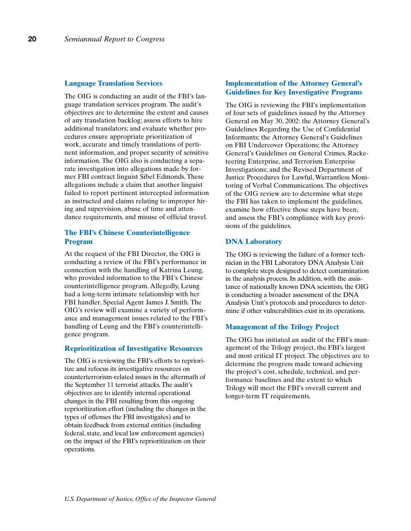#### **Language Translation Services**

The OIG is conducting an audit of the FBI's language translation services program. The audit's objectives are to determine the extent and causes of any translation backlog; assess efforts to hire additional translators; and evaluate whether procedures ensure appropriate prioritization of work, accurate and timely translations of pertinent information, and proper security of sensitive information. The OIG also is conducting a separate investigation into allegations made by former FBI contract linguist Sibel Edmonds. These allegations include a claim that another linguist failed to report pertinent intercepted information as instructed and claims relating to improper hiring and supervision, abuse of time and attendance requirements, and misuse of official travel.

### **The FBI's Chinese Counterintelligence Program**

At the request of the FBI Director, the OIG is conducting a review of the FBI's performance in connection with the handling of Katrina Leung, who provided information to the FBI's Chinese counterintelligence program. Allegedly, Leung had a long-term intimate relationship with her FBI handler, Special Agent James J. Smith. The OIG's review will examine a variety of performance and management issues related to the FBI's handling of Leung and the FBI's counterintelligence program.

#### **Reprioritization of Investigative Resources**

The OIG is reviewing the FBI's efforts to reprioritize and refocus its investigative resources on counterterrorism-related issues in the aftermath of the September 11 terrorist attacks. The audit's objectives are to identify internal operational changes in the FBI resulting from this ongoing reprioritization effort (including the changes in the types of offenses the FBI investigates) and to obtain feedback from external entities (including federal, state, and local law enforcement agencies) on the impact of the FBI's reprioritization on their operations.

### **Implementation of the Attorney General's Guidelines for Key Investigative Programs**

The OIG is reviewing the FBI's implementation of four sets of guidelines issued by the Attorney General on May 30, 2002: the Attorney General's Guidelines Regarding the Use of Confidential Informants; the Attorney General's Guidelines on FBI Undercover Operations; the Attorney General's Guidelines on General Crimes, Racketeering Enterprise, and Terrorism Enterprise Investigations; and the Revised Department of Justice Procedures for Lawful, Warrantless Monitoring of Verbal Communications. The objectives of the OIG review are to determine what steps the FBI has taken to implement the guidelines, examine how effective those steps have been, and assess the FBI's compliance with key provisions of the guidelines.

#### **DNA Laboratory**

The OIG is reviewing the failure of a former technician in the FBI Laboratory DNA Analysis Unit to complete steps designed to detect contamination in the analysis process. In addition, with the assistance of nationally known DNA scientists, the OIG is conducting a broader assessment of the DNA Analysis Unit's protocols and procedures to determine if other vulnerabilities exist in its operations.

#### **Management of the Trilogy Project**

The OIG has initiated an audit of the FBI's management of the Trilogy project, the FBI's largest and most critical IT project. The objectives are to determine the progress made toward achieving the project's cost, schedule, technical, and performance baselines and the extent to which Trilogy will meet the FBI's overall current and longer-term IT requirements.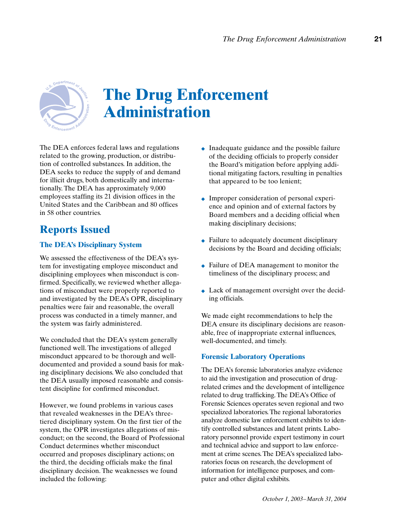

# **The Drug Enforcement Administration**

The DEA enforces federal laws and regulations related to the growing, production, or distribution of controlled substances. In addition, the DEA seeks to reduce the supply of and demand for illicit drugs, both domestically and internationally. The DEA has approximately 9,000 employees staffing its 21 division offices in the United States and the Caribbean and 80 offices in 58 other countries.

## **Reports Issued**

## **The DEA's Disciplinary System**

We assessed the effectiveness of the DEA's system for investigating employee misconduct and disciplining employees when misconduct is confirmed. Specifically, we reviewed whether allegations of misconduct were properly reported to and investigated by the DEA's OPR, disciplinary penalties were fair and reasonable, the overall process was conducted in a timely manner, and the system was fairly administered.

We concluded that the DEA's system generally functioned well. The investigations of alleged misconduct appeared to be thorough and welldocumented and provided a sound basis for making disciplinary decisions. We also concluded that the DEA usually imposed reasonable and consistent discipline for confirmed misconduct.

However, we found problems in various cases that revealed weaknesses in the DEA's threetiered disciplinary system. On the first tier of the system, the OPR investigates allegations of misconduct; on the second, the Board of Professional Conduct determines whether misconduct occurred and proposes disciplinary actions; on the third, the deciding officials make the final disciplinary decision. The weaknesses we found included the following:

- ◆ Inadequate guidance and the possible failure of the deciding officials to properly consider the Board's mitigation before applying additional mitigating factors, resulting in penalties that appeared to be too lenient;
- ◆ Improper consideration of personal experience and opinion and of external factors by Board members and a deciding official when making disciplinary decisions;
- ◆ Failure to adequately document disciplinary decisions by the Board and deciding officials;
- ◆ Failure of DEA management to monitor the timeliness of the disciplinary process; and
- ◆ Lack of management oversight over the deciding officials.

We made eight recommendations to help the DEA ensure its disciplinary decisions are reasonable, free of inappropriate external influences, well-documented, and timely.

## **Forensic Laboratory Operations**

The DEA's forensic laboratories analyze evidence to aid the investigation and prosecution of drugrelated crimes and the development of intelligence related to drug trafficking. The DEA's Office of Forensic Sciences operates seven regional and two specialized laboratories. The regional laboratories analyze domestic law enforcement exhibits to identify controlled substances and latent prints. Laboratory personnel provide expert testimony in court and technical advice and support to law enforcement at crime scenes. The DEA's specialized laboratories focus on research, the development of information for intelligence purposes, and computer and other digital exhibits.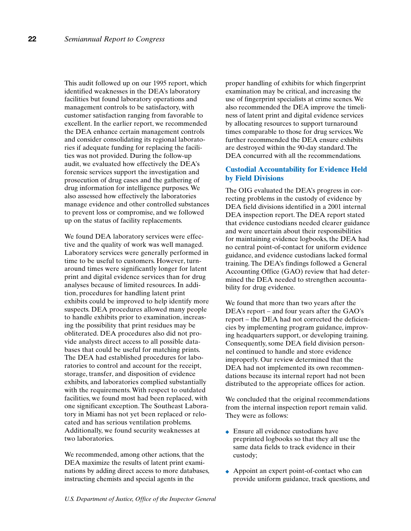This audit followed up on our 1995 report, which identified weaknesses in the DEA's laboratory facilities but found laboratory operations and management controls to be satisfactory, with customer satisfaction ranging from favorable to excellent. In the earlier report, we recommended the DEA enhance certain management controls and consider consolidating its regional laboratories if adequate funding for replacing the facilities was not provided. During the follow-up audit, we evaluated how effectively the DEA's forensic services support the investigation and prosecution of drug cases and the gathering of drug information for intelligence purposes. We also assessed how effectively the laboratories manage evidence and other controlled substances to prevent loss or compromise, and we followed up on the status of facility replacements.

We found DEA laboratory services were effective and the quality of work was well managed. Laboratory services were generally performed in time to be useful to customers. However, turnaround times were significantly longer for latent print and digital evidence services than for drug analyses because of limited resources. In addition, procedures for handling latent print exhibits could be improved to help identify more suspects. DEA procedures allowed many people to handle exhibits prior to examination, increasing the possibility that print residues may be obliterated. DEA procedures also did not provide analysts direct access to all possible databases that could be useful for matching prints. The DEA had established procedures for laboratories to control and account for the receipt, storage, transfer, and disposition of evidence exhibits, and laboratories complied substantially with the requirements. With respect to outdated facilities, we found most had been replaced, with one significant exception. The Southeast Laboratory in Miami has not yet been replaced or relocated and has serious ventilation problems. Additionally, we found security weaknesses at two laboratories.

We recommended, among other actions, that the DEA maximize the results of latent print examinations by adding direct access to more databases, instructing chemists and special agents in the

proper handling of exhibits for which fingerprint examination may be critical, and increasing the use of fingerprint specialists at crime scenes. We also recommended the DEA improve the timeliness of latent print and digital evidence services by allocating resources to support turnaround times comparable to those for drug services. We further recommended the DEA ensure exhibits are destroyed within the 90-day standard. The DEA concurred with all the recommendations.

### **Custodial Accountability for Evidence Held by Field Divisions**

The OIG evaluated the DEA's progress in correcting problems in the custody of evidence by DEA field divisions identified in a 2001 internal DEA inspection report. The DEA report stated that evidence custodians needed clearer guidance and were uncertain about their responsibilities for maintaining evidence logbooks, the DEA had no central point-of-contact for uniform evidence guidance, and evidence custodians lacked formal training. The DEA's findings followed a General Accounting Office (GAO) review that had determined the DEA needed to strengthen accountability for drug evidence.

We found that more than two years after the DEA's report – and four years after the GAO's report – the DEA had not corrected the deficiencies by implementing program guidance, improving headquarters support, or developing training. Consequently, some DEA field division personnel continued to handle and store evidence improperly. Our review determined that the DEA had not implemented its own recommendations because its internal report had not been distributed to the appropriate offices for action.

We concluded that the original recommendations from the internal inspection report remain valid. They were as follows:

- ◆ Ensure all evidence custodians have preprinted logbooks so that they all use the same data fields to track evidence in their custody;
- ◆ Appoint an expert point-of-contact who can provide uniform guidance, track questions, and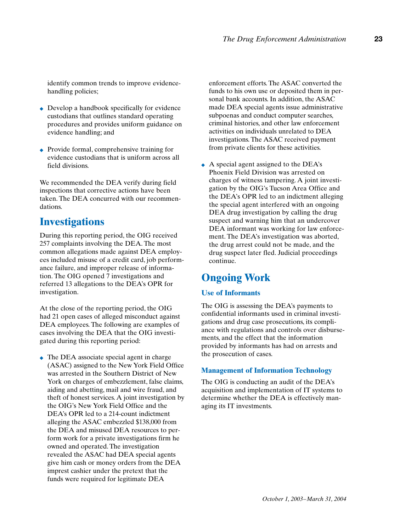identify common trends to improve evidencehandling policies;

- ◆ Develop a handbook specifically for evidence custodians that outlines standard operating procedures and provides uniform guidance on evidence handling; and
- ◆ Provide formal, comprehensive training for evidence custodians that is uniform across all field divisions.

We recommended the DEA verify during field inspections that corrective actions have been taken. The DEA concurred with our recommendations.

## **Investigations**

During this reporting period, the OIG received 257 complaints involving the DEA. The most common allegations made against DEA employees included misuse of a credit card, job performance failure, and improper release of information. The OIG opened 7 investigations and referred 13 allegations to the DEA's OPR for investigation.

At the close of the reporting period, the OIG had 21 open cases of alleged misconduct against DEA employees. The following are examples of cases involving the DEA that the OIG investigated during this reporting period:

 $\bullet$  The DEA associate special agent in charge (ASAC) assigned to the New York Field Office was arrested in the Southern District of New York on charges of embezzlement, false claims, aiding and abetting, mail and wire fraud, and theft of honest services. A joint investigation by the OIG's New York Field Office and the DEA's OPR led to a 214-count indictment alleging the ASAC embezzled \$138,000 from the DEA and misused DEA resources to perform work for a private investigations firm he owned and operated. The investigation revealed the ASAC had DEA special agents give him cash or money orders from the DEA imprest cashier under the pretext that the funds were required for legitimate DEA

enforcement efforts. The ASAC converted the funds to his own use or deposited them in personal bank accounts. In addition, the ASAC made DEA special agents issue administrative subpoenas and conduct computer searches, criminal histories, and other law enforcement activities on individuals unrelated to DEA investigations. The ASAC received payment from private clients for these activities.

 $\triangle$  A special agent assigned to the DEA's Phoenix Field Division was arrested on charges of witness tampering. A joint investigation by the OIG's Tucson Area Office and the DEA's OPR led to an indictment alleging the special agent interfered with an ongoing DEA drug investigation by calling the drug suspect and warning him that an undercover DEA informant was working for law enforcement. The DEA's investigation was aborted, the drug arrest could not be made, and the drug suspect later fled. Judicial proceedings continue.

## **Ongoing Work**

#### **Use of Informants**

The OIG is assessing the DEA's payments to confidential informants used in criminal investigations and drug case prosecutions, its compliance with regulations and controls over disbursements, and the effect that the information provided by informants has had on arrests and the prosecution of cases.

#### **Management of Information Technology**

The OIG is conducting an audit of the DEA's acquisition and implementation of IT systems to determine whether the DEA is effectively managing its IT investments.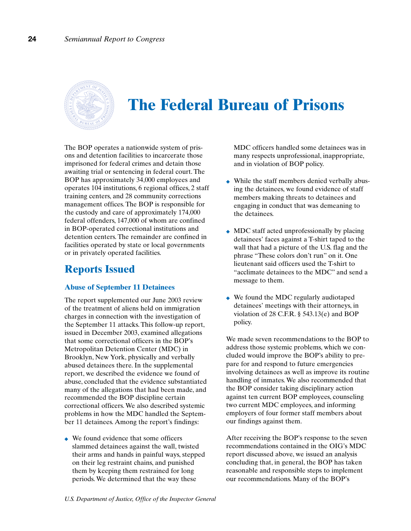

## **The Federal Bureau of Prisons**

The BOP operates a nationwide system of prisons and detention facilities to incarcerate those imprisoned for federal crimes and detain those awaiting trial or sentencing in federal court. The BOP has approximately 34,000 employees and operates 104 institutions, 6 regional offices, 2 staff training centers, and 28 community corrections management offices. The BOP is responsible for the custody and care of approximately 174,000 federal offenders, 147,000 of whom are confined in BOP-operated correctional institutions and detention centers. The remainder are confined in facilities operated by state or local governments or in privately operated facilities.

## **Reports Issued**

### **Abuse of September 11 Detainees**

The report supplemented our June 2003 review of the treatment of aliens held on immigration charges in connection with the investigation of the September 11 attacks. This follow-up report, issued in December 2003, examined allegations that some correctional officers in the BOP's Metropolitan Detention Center (MDC) in Brooklyn, New York, physically and verbally abused detainees there. In the supplemental report, we described the evidence we found of abuse, concluded that the evidence substantiated many of the allegations that had been made, and recommended the BOP discipline certain correctional officers. We also described systemic problems in how the MDC handled the September 11 detainees. Among the report's findings:

◆ We found evidence that some officers slammed detainees against the wall, twisted their arms and hands in painful ways, stepped on their leg restraint chains, and punished them by keeping them restrained for long periods. We determined that the way these

MDC officers handled some detainees was in many respects unprofessional, inappropriate, and in violation of BOP policy.

- ◆ While the staff members denied verbally abusing the detainees, we found evidence of staff members making threats to detainees and engaging in conduct that was demeaning to the detainees.
- ◆ MDC staff acted unprofessionally by placing detainees' faces against a T-shirt taped to the wall that had a picture of the U.S. flag and the phrase "These colors don't run" on it. One lieutenant said officers used the T-shirt to "acclimate detainees to the MDC" and send a message to them.
- ◆ We found the MDC regularly audiotaped detainees' meetings with their attorneys, in violation of 28 C.F.R.  $\S$  543.13(e) and BOP policy.

We made seven recommendations to the BOP to address those systemic problems, which we concluded would improve the BOP's ability to prepare for and respond to future emergencies involving detainees as well as improve its routine handling of inmates. We also recommended that the BOP consider taking disciplinary action against ten current BOP employees, counseling two current MDC employees, and informing employers of four former staff members about our findings against them.

After receiving the BOP's response to the seven recommendations contained in the OIG's MDC report discussed above, we issued an analysis concluding that, in general, the BOP has taken reasonable and responsible steps to implement our recommendations. Many of the BOP's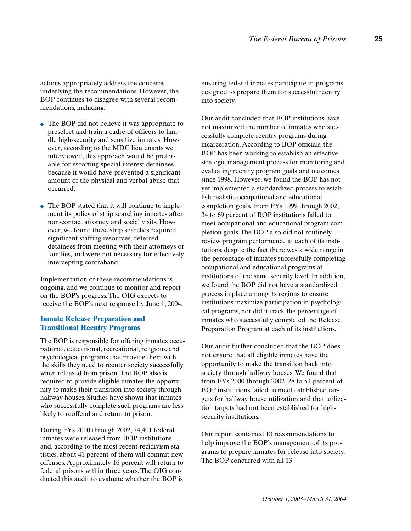actions appropriately address the concerns underlying the recommendations. However, the BOP continues to disagree with several recommendations, including:

- ◆ The BOP did not believe it was appropriate to preselect and train a cadre of officers to handle high-security and sensitive inmates. However, according to the MDC lieutenants we interviewed, this approach would be preferable for escorting special interest detainees because it would have prevented a significant amount of the physical and verbal abuse that occurred.
- ◆ The BOP stated that it will continue to implement its policy of strip searching inmates after non-contact attorney and social visits. However, we found these strip searches required significant staffing resources, deterred detainees from meeting with their attorneys or families, and were not necessary for effectively intercepting contraband.

Implementation of these recommendations is ongoing, and we continue to monitor and report on the BOP's progress. The OIG expects to receive the BOP's next response by June 1, 2004.

### **Inmate Release Preparation and Transitional Reentry Programs**

The BOP is responsible for offering inmates occupational, educational, recreational, religious, and psychological programs that provide them with the skills they need to reenter society successfully when released from prison. The BOP also is required to provide eligible inmates the opportunity to make their transition into society through halfway houses. Studies have shown that inmates who successfully complete such programs are less likely to reoffend and return to prison.

During FYs 2000 through 2002, 74,401 federal inmates were released from BOP institutions and, according to the most recent recidivism statistics, about 41 percent of them will commit new offenses. Approximately 16 percent will return to federal prisons within three years. The OIG conducted this audit to evaluate whether the BOP is

ensuring federal inmates participate in programs designed to prepare them for successful reentry into society.

Our audit concluded that BOP institutions have not maximized the number of inmates who successfully complete reentry programs during incarceration. According to BOP officials, the BOP has been working to establish an effective strategic management process for monitoring and evaluating reentry program goals and outcomes since 1998. However, we found the BOP has not yet implemented a standardized process to establish realistic occupational and educational completion goals. From FYs 1999 through 2002, 34 to 69 percent of BOP institutions failed to meet occupational and educational program completion goals. The BOP also did not routinely review program performance at each of its institutions, despite the fact there was a wide range in the percentage of inmates successfully completing occupational and educational programs at institutions of the same security level. In addition, we found the BOP did not have a standardized process in place among its regions to ensure institutions maximize participation in psychological programs, nor did it track the percentage of inmates who successfully completed the Release Preparation Program at each of its institutions.

Our audit further concluded that the BOP does not ensure that all eligible inmates have the opportunity to make the transition back into society through halfway houses. We found that from FYs 2000 through 2002, 28 to 54 percent of BOP institutions failed to meet established targets for halfway house utilization and that utilization targets had not been established for highsecurity institutions.

Our report contained 13 recommendations to help improve the BOP's management of its programs to prepare inmates for release into society. The BOP concurred with all 13.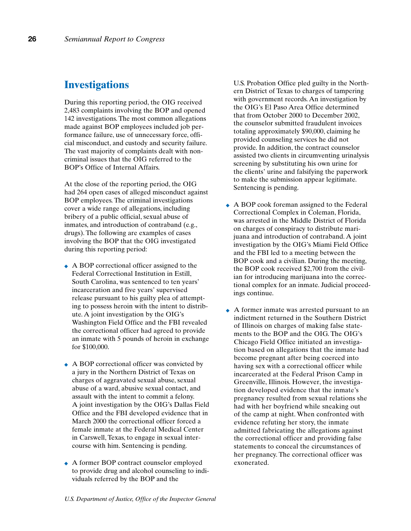## **Investigations**

During this reporting period, the OIG received 2,483 complaints involving the BOP and opened 142 investigations. The most common allegations made against BOP employees included job performance failure, use of unnecessary force, official misconduct, and custody and security failure. The vast majority of complaints dealt with noncriminal issues that the OIG referred to the BOP's Office of Internal Affairs.

At the close of the reporting period, the OIG had 264 open cases of alleged misconduct against BOP employees. The criminal investigations cover a wide range of allegations, including bribery of a public official, sexual abuse of inmates, and introduction of contraband (e.g., drugs). The following are examples of cases involving the BOP that the OIG investigated during this reporting period:

- ◆ A BOP correctional officer assigned to the Federal Correctional Institution in Estill, South Carolina, was sentenced to ten years' incarceration and five years' supervised release pursuant to his guilty plea of attempting to possess heroin with the intent to distribute. A joint investigation by the OIG's Washington Field Office and the FBI revealed the correctional officer had agreed to provide an inmate with 5 pounds of heroin in exchange for \$100,000.
- ◆ A BOP correctional officer was convicted by a jury in the Northern District of Texas on charges of aggravated sexual abuse, sexual abuse of a ward, abusive sexual contact, and assault with the intent to commit a felony. A joint investigation by the OIG's Dallas Field Office and the FBI developed evidence that in March 2000 the correctional officer forced a female inmate at the Federal Medical Center in Carswell, Texas, to engage in sexual intercourse with him. Sentencing is pending.
- ◆ A former BOP contract counselor employed to provide drug and alcohol counseling to individuals referred by the BOP and the

U.S. Probation Office pled guilty in the Northern District of Texas to charges of tampering with government records. An investigation by the OIG's El Paso Area Office determined that from October 2000 to December 2002, the counselor submitted fraudulent invoices totaling approximately \$90,000, claiming he provided counseling services he did not provide. In addition, the contract counselor assisted two clients in circumventing urinalysis screening by substituting his own urine for the clients' urine and falsifying the paperwork to make the submission appear legitimate. Sentencing is pending.

- ◆ A BOP cook foreman assigned to the Federal Correctional Complex in Coleman, Florida, was arrested in the Middle District of Florida on charges of conspiracy to distribute marijuana and introduction of contraband. A joint investigation by the OIG's Miami Field Office and the FBI led to a meeting between the BOP cook and a civilian. During the meeting, the BOP cook received \$2,700 from the civilian for introducing marijuana into the correctional complex for an inmate. Judicial proceedings continue.
- ◆ A former inmate was arrested pursuant to an indictment returned in the Southern District of Illinois on charges of making false statements to the BOP and the OIG. The OIG's Chicago Field Office initiated an investigation based on allegations that the inmate had become pregnant after being coerced into having sex with a correctional officer while incarcerated at the Federal Prison Camp in Greenville, Illinois. However, the investigation developed evidence that the inmate's pregnancy resulted from sexual relations she had with her boyfriend while sneaking out of the camp at night. When confronted with evidence refuting her story, the inmate admitted fabricating the allegations against the correctional officer and providing false statements to conceal the circumstances of her pregnancy. The correctional officer was exonerated.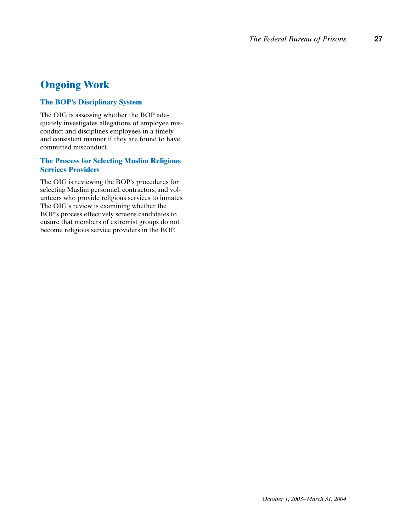## **Ongoing Work**

## **The BOP's Disciplinary System**

The OIG is assessing whether the BOP adequately investigates allegations of employee misconduct and disciplines employees in a timely and consistent manner if they are found to have committed misconduct.

### **The Process for Selecting Muslim Religious Services Providers**

The OIG is reviewing the BOP's procedures for selecting Muslim personnel, contractors, and volunteers who provide religious services to inmates. The OIG's review is examining whether the BOP's process effectively screens candidates to ensure that members of extremist groups do not become religious service providers in the BOP.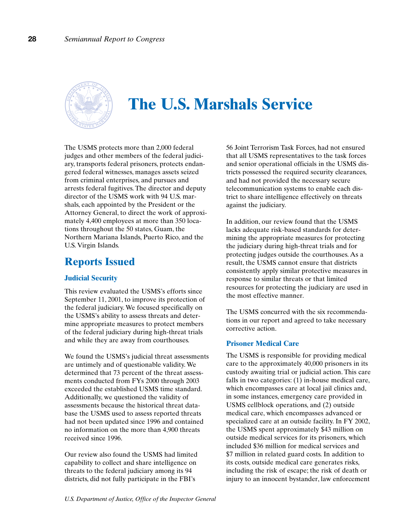

## **The U.S. Marshals Service**

The USMS protects more than 2,000 federal judges and other members of the federal judiciary, transports federal prisoners, protects endangered federal witnesses, manages assets seized from criminal enterprises, and pursues and arrests federal fugitives. The director and deputy director of the USMS work with 94 U.S. marshals, each appointed by the President or the Attorney General, to direct the work of approximately 4,400 employees at more than 350 locations throughout the 50 states, Guam, the Northern Mariana Islands, Puerto Rico, and the U.S. Virgin Islands.

## **Reports Issued**

### **Judicial Security**

This review evaluated the USMS's efforts since September 11, 2001, to improve its protection of the federal judiciary. We focused specifically on the USMS's ability to assess threats and determine appropriate measures to protect members of the federal judiciary during high-threat trials and while they are away from courthouses.

We found the USMS's judicial threat assessments are untimely and of questionable validity. We determined that 73 percent of the threat assessments conducted from FYs 2000 through 2003 exceeded the established USMS time standard. Additionally, we questioned the validity of assessments because the historical threat database the USMS used to assess reported threats had not been updated since 1996 and contained no information on the more than 4,900 threats received since 1996.

Our review also found the USMS had limited capability to collect and share intelligence on threats to the federal judiciary among its 94 districts, did not fully participate in the FBI's

56 Joint Terrorism Task Forces, had not ensured that all USMS representatives to the task forces and senior operational officials in the USMS districts possessed the required security clearances, and had not provided the necessary secure telecommunication systems to enable each district to share intelligence effectively on threats against the judiciary.

In addition, our review found that the USMS lacks adequate risk-based standards for determining the appropriate measures for protecting the judiciary during high-threat trials and for protecting judges outside the courthouses. As a result, the USMS cannot ensure that districts consistently apply similar protective measures in response to similar threats or that limited resources for protecting the judiciary are used in the most effective manner.

The USMS concurred with the six recommendations in our report and agreed to take necessary corrective action.

#### **Prisoner Medical Care**

The USMS is responsible for providing medical care to the approximately 40,000 prisoners in its custody awaiting trial or judicial action. This care falls in two categories: (1) in-house medical care, which encompasses care at local jail clinics and, in some instances, emergency care provided in USMS cellblock operations, and (2) outside medical care, which encompasses advanced or specialized care at an outside facility. In FY 2002, the USMS spent approximately \$43 million on outside medical services for its prisoners, which included \$36 million for medical services and \$7 million in related guard costs. In addition to its costs, outside medical care generates risks, including the risk of escape; the risk of death or injury to an innocent bystander, law enforcement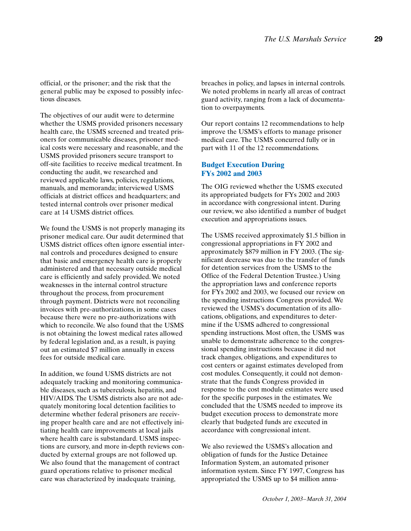official, or the prisoner; and the risk that the general public may be exposed to possibly infectious diseases.

The objectives of our audit were to determine whether the USMS provided prisoners necessary health care, the USMS screened and treated prisoners for communicable diseases, prisoner medical costs were necessary and reasonable, and the USMS provided prisoners secure transport to off-site facilities to receive medical treatment. In conducting the audit, we researched and reviewed applicable laws, policies, regulations, manuals, and memoranda; interviewed USMS officials at district offices and headquarters; and tested internal controls over prisoner medical care at 14 USMS district offices.

We found the USMS is not properly managing its prisoner medical care. Our audit determined that USMS district offices often ignore essential internal controls and procedures designed to ensure that basic and emergency health care is properly administered and that necessary outside medical care is efficiently and safely provided. We noted weaknesses in the internal control structure throughout the process, from procurement through payment. Districts were not reconciling invoices with pre-authorizations, in some cases because there were no pre-authorizations with which to reconcile. We also found that the USMS is not obtaining the lowest medical rates allowed by federal legislation and, as a result, is paying out an estimated \$7 million annually in excess fees for outside medical care.

In addition, we found USMS districts are not adequately tracking and monitoring communicable diseases, such as tuberculosis, hepatitis, and HIV/AIDS. The USMS districts also are not adequately monitoring local detention facilities to determine whether federal prisoners are receiving proper health care and are not effectively initiating health care improvements at local jails where health care is substandard. USMS inspections are cursory, and more in-depth reviews conducted by external groups are not followed up. We also found that the management of contract guard operations relative to prisoner medical care was characterized by inadequate training,

breaches in policy, and lapses in internal controls. We noted problems in nearly all areas of contract guard activity, ranging from a lack of documentation to overpayments.

Our report contains 12 recommendations to help improve the USMS's efforts to manage prisoner medical care. The USMS concurred fully or in part with 11 of the 12 recommendations.

#### **Budget Execution During FYs 2002 and 2003**

The OIG reviewed whether the USMS executed its appropriated budgets for FYs 2002 and 2003 in accordance with congressional intent. During our review, we also identified a number of budget execution and appropriations issues.

The USMS received approximately \$1.5 billion in congressional appropriations in FY 2002 and approximately \$879 million in FY 2003. (The significant decrease was due to the transfer of funds for detention services from the USMS to the Office of the Federal Detention Trustee.) Using the appropriation laws and conference reports for FYs 2002 and 2003, we focused our review on the spending instructions Congress provided. We reviewed the USMS's documentation of its allocations, obligations, and expenditures to determine if the USMS adhered to congressional spending instructions. Most often, the USMS was unable to demonstrate adherence to the congressional spending instructions because it did not track changes, obligations, and expenditures to cost centers or against estimates developed from cost modules. Consequently, it could not demonstrate that the funds Congress provided in response to the cost module estimates were used for the specific purposes in the estimates. We concluded that the USMS needed to improve its budget execution process to demonstrate more clearly that budgeted funds are executed in accordance with congressional intent.

We also reviewed the USMS's allocation and obligation of funds for the Justice Detainee Information System, an automated prisoner information system. Since FY 1997, Congress has appropriated the USMS up to \$4 million annu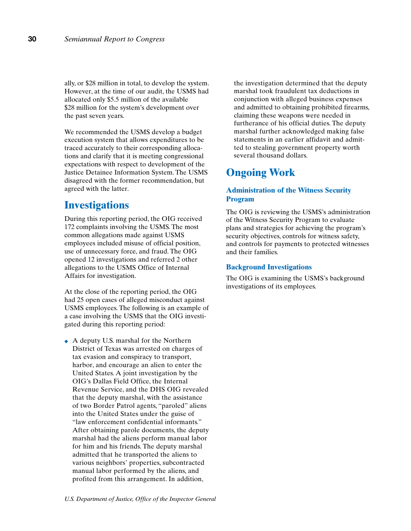ally, or \$28 million in total, to develop the system. However, at the time of our audit, the USMS had allocated only \$5.5 million of the available \$28 million for the system's development over the past seven years.

We recommended the USMS develop a budget execution system that allows expenditures to be traced accurately to their corresponding allocations and clarify that it is meeting congressional expectations with respect to development of the Justice Detainee Information System. The USMS disagreed with the former recommendation, but agreed with the latter.

## **Investigations**

During this reporting period, the OIG received 172 complaints involving the USMS. The most common allegations made against USMS employees included misuse of official position, use of unnecessary force, and fraud. The OIG opened 12 investigations and referred 2 other allegations to the USMS Office of Internal Affairs for investigation.

At the close of the reporting period, the OIG had 25 open cases of alleged misconduct against USMS employees. The following is an example of a case involving the USMS that the OIG investigated during this reporting period:

◆ A deputy U.S. marshal for the Northern District of Texas was arrested on charges of tax evasion and conspiracy to transport, harbor, and encourage an alien to enter the United States. A joint investigation by the OIG's Dallas Field Office, the Internal Revenue Service, and the DHS OIG revealed that the deputy marshal, with the assistance of two Border Patrol agents, "paroled" aliens into the United States under the guise of "law enforcement confidential informants." After obtaining parole documents, the deputy marshal had the aliens perform manual labor for him and his friends. The deputy marshal admitted that he transported the aliens to various neighbors' properties, subcontracted manual labor performed by the aliens, and profited from this arrangement. In addition,

the investigation determined that the deputy marshal took fraudulent tax deductions in conjunction with alleged business expenses and admitted to obtaining prohibited firearms, claiming these weapons were needed in furtherance of his official duties. The deputy marshal further acknowledged making false statements in an earlier affidavit and admitted to stealing government property worth several thousand dollars.

## **Ongoing Work**

## **Administration of the Witness Security Program**

The OIG is reviewing the USMS's administration of the Witness Security Program to evaluate plans and strategies for achieving the program's security objectives, controls for witness safety, and controls for payments to protected witnesses and their families.

#### **Background Investigations**

The OIG is examining the USMS's background investigations of its employees.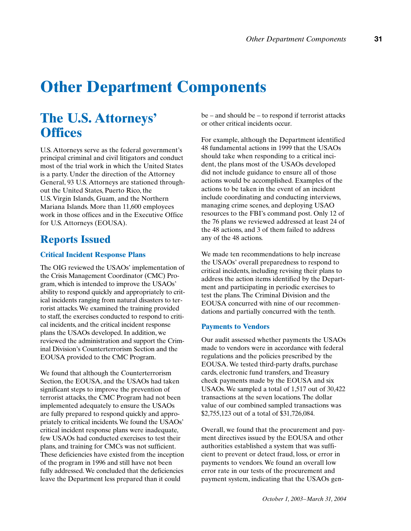# **Other Department Components**

## **The U.S. Attorneys' Offices**

U.S. Attorneys serve as the federal government's principal criminal and civil litigators and conduct most of the trial work in which the United States is a party. Under the direction of the Attorney General, 93 U.S. Attorneys are stationed throughout the United States, Puerto Rico, the U.S. Virgin Islands, Guam, and the Northern Mariana Islands. More than 11,600 employees work in those offices and in the Executive Office for U.S. Attorneys (EOUSA).

## **Reports Issued**

### **Critical Incident Response Plans**

The OIG reviewed the USAOs' implementation of the Crisis Management Coordinator (CMC) Program, which is intended to improve the USAOs' ability to respond quickly and appropriately to critical incidents ranging from natural disasters to terrorist attacks. We examined the training provided to staff, the exercises conducted to respond to critical incidents, and the critical incident response plans the USAOs developed. In addition, we reviewed the administration and support the Criminal Division's Counterterrorism Section and the EOUSA provided to the CMC Program.

We found that although the Counterterrorism Section, the EOUSA, and the USAOs had taken significant steps to improve the prevention of terrorist attacks, the CMC Program had not been implemented adequately to ensure the USAOs are fully prepared to respond quickly and appropriately to critical incidents. We found the USAOs' critical incident response plans were inadequate, few USAOs had conducted exercises to test their plans, and training for CMCs was not sufficient. These deficiencies have existed from the inception of the program in 1996 and still have not been fully addressed. We concluded that the deficiencies leave the Department less prepared than it could

be – and should be – to respond if terrorist attacks or other critical incidents occur.

For example, although the Department identified 48 fundamental actions in 1999 that the USAOs should take when responding to a critical incident, the plans most of the USAOs developed did not include guidance to ensure all of those actions would be accomplished. Examples of the actions to be taken in the event of an incident include coordinating and conducting interviews, managing crime scenes, and deploying USAO resources to the FBI's command post. Only 12 of the 76 plans we reviewed addressed at least 24 of the 48 actions, and 3 of them failed to address any of the 48 actions.

We made ten recommendations to help increase the USAOs' overall preparedness to respond to critical incidents, including revising their plans to address the action items identified by the Department and participating in periodic exercises to test the plans. The Criminal Division and the EOUSA concurred with nine of our recommendations and partially concurred with the tenth.

#### **Payments to Vendors**

Our audit assessed whether payments the USAOs made to vendors were in accordance with federal regulations and the policies prescribed by the EOUSA. We tested third-party drafts, purchase cards, electronic fund transfers, and Treasury check payments made by the EOUSA and six USAOs. We sampled a total of 1,517 out of 30,422 transactions at the seven locations. The dollar value of our combined sampled transactions was \$2,755,123 out of a total of \$31,726,084.

Overall, we found that the procurement and payment directives issued by the EOUSA and other authorities established a system that was sufficient to prevent or detect fraud, loss, or error in payments to vendors. We found an overall low error rate in our tests of the procurement and payment system, indicating that the USAOs gen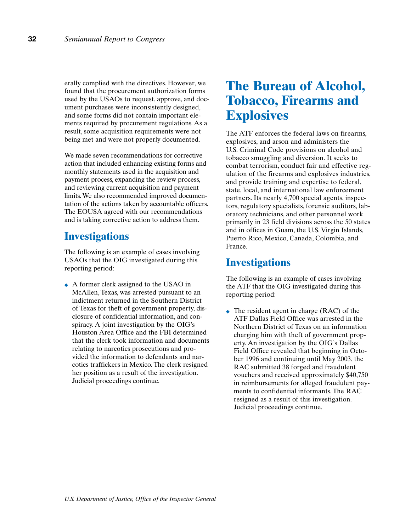erally complied with the directives. However, we found that the procurement authorization forms used by the USAOs to request, approve, and document purchases were inconsistently designed, and some forms did not contain important elements required by procurement regulations. As a result, some acquisition requirements were not being met and were not properly documented.

We made seven recommendations for corrective action that included enhancing existing forms and monthly statements used in the acquisition and payment process, expanding the review process, and reviewing current acquisition and payment limits. We also recommended improved documentation of the actions taken by accountable officers. The EOUSA agreed with our recommendations and is taking corrective action to address them.

## **Investigations**

The following is an example of cases involving USAOs that the OIG investigated during this reporting period:

◆ A former clerk assigned to the USAO in McAllen, Texas, was arrested pursuant to an indictment returned in the Southern District of Texas for theft of government property, disclosure of confidential information, and conspiracy. A joint investigation by the OIG's Houston Area Office and the FBI determined that the clerk took information and documents relating to narcotics prosecutions and provided the information to defendants and narcotics traffickers in Mexico. The clerk resigned her position as a result of the investigation. Judicial proceedings continue.

## **The Bureau of Alcohol, Tobacco, Firearms and Explosives**

The ATF enforces the federal laws on firearms, explosives, and arson and administers the U.S. Criminal Code provisions on alcohol and tobacco smuggling and diversion. It seeks to combat terrorism, conduct fair and effective regulation of the firearms and explosives industries, and provide training and expertise to federal, state, local, and international law enforcement partners. Its nearly 4,700 special agents, inspectors, regulatory specialists, forensic auditors, laboratory technicians, and other personnel work primarily in 23 field divisions across the 50 states and in offices in Guam, the U.S. Virgin Islands, Puerto Rico, Mexico, Canada, Colombia, and France.

## **Investigations**

The following is an example of cases involving the ATF that the OIG investigated during this reporting period:

 $\triangle$  The resident agent in charge (RAC) of the ATF Dallas Field Office was arrested in the Northern District of Texas on an information charging him with theft of government property. An investigation by the OIG's Dallas Field Office revealed that beginning in October 1996 and continuing until May 2003, the RAC submitted 38 forged and fraudulent vouchers and received approximately \$40,750 in reimbursements for alleged fraudulent payments to confidential informants. The RAC resigned as a result of this investigation. Judicial proceedings continue.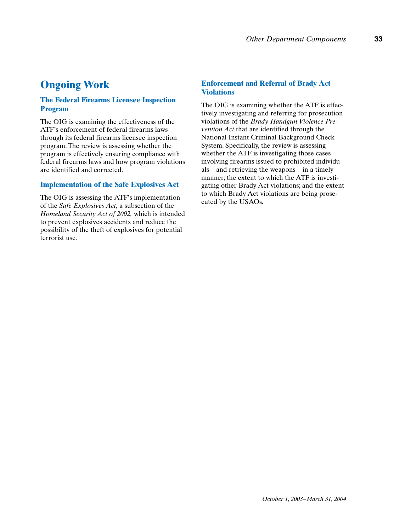## **Ongoing Work**

## **The Federal Firearms Licensee Inspection Program**

The OIG is examining the effectiveness of the ATF's enforcement of federal firearms laws through its federal firearms licensee inspection program. The review is assessing whether the program is effectively ensuring compliance with federal firearms laws and how program violations are identified and corrected.

### **Implementation of the Safe Explosives Act**

The OIG is assessing the ATF's implementation of the *Safe Explosives Act,* a subsection of the *Homeland Security Act of 2002,* which is intended to prevent explosives accidents and reduce the possibility of the theft of explosives for potential terrorist use.

### **Enforcement and Referral of Brady Act Violations**

The OIG is examining whether the ATF is effectively investigating and referring for prosecution violations of the *Brady Handgun Violence Prevention Act* that are identified through the National Instant Criminal Background Check System. Specifically, the review is assessing whether the ATF is investigating those cases involving firearms issued to prohibited individuals – and retrieving the weapons – in a timely manner; the extent to which the ATF is investigating other Brady Act violations; and the extent to which Brady Act violations are being prosecuted by the USAOs.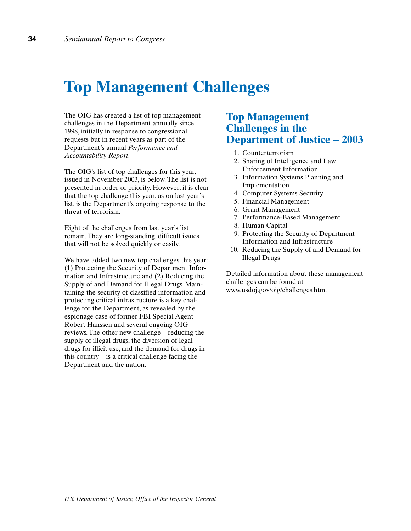## **Top Management Challenges**

The OIG has created a list of top management challenges in the Department annually since 1998, initially in response to congressional requests but in recent years as part of the Department's annual *Performance and Accountability Report*.

The OIG's list of top challenges for this year, issued in November 2003, is below. The list is not presented in order of priority. However, it is clear that the top challenge this year, as on last year's list, is the Department's ongoing response to the threat of terrorism.

Eight of the challenges from last year's list remain. They are long-standing, difficult issues that will not be solved quickly or easily.

We have added two new top challenges this year: (1) Protecting the Security of Department Information and Infrastructure and (2) Reducing the Supply of and Demand for Illegal Drugs. Maintaining the security of classified information and protecting critical infrastructure is a key challenge for the Department, as revealed by the espionage case of former FBI Special Agent Robert Hanssen and several ongoing OIG reviews. The other new challenge – reducing the supply of illegal drugs, the diversion of legal drugs for illicit use, and the demand for drugs in this country – is a critical challenge facing the Department and the nation.

## **Top Management Challenges in the Department of Justice – 2003**

- 1. Counterterrorism
- 2. Sharing of Intelligence and Law Enforcement Information
- 3. Information Systems Planning and Implementation
- 4. Computer Systems Security
- 5. Financial Management
- 6. Grant Management
- 7. Performance-Based Management
- 8. Human Capital
- 9. Protecting the Security of Department Information and Infrastructure
- 10. Reducing the Supply of and Demand for Illegal Drugs

Detailed information about these management challenges can be found at www.usdoj.gov/oig/challenges.htm.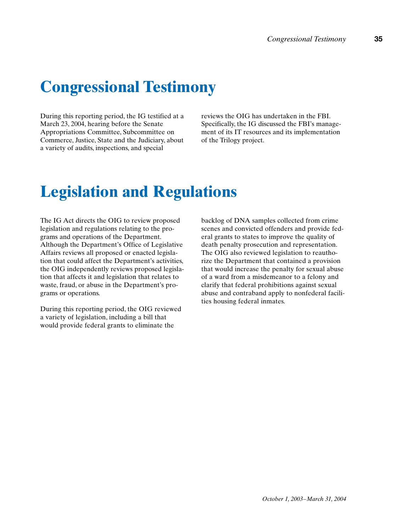# **Congressional Testimony**

During this reporting period, the IG testified at a March 23, 2004, hearing before the Senate Appropriations Committee, Subcommittee on Commerce, Justice, State and the Judiciary, about a variety of audits, inspections, and special

reviews the OIG has undertaken in the FBI. Specifically, the IG discussed the FBI's management of its IT resources and its implementation of the Trilogy project.

## **Legislation and Regulations**

The IG Act directs the OIG to review proposed legislation and regulations relating to the programs and operations of the Department. Although the Department's Office of Legislative Affairs reviews all proposed or enacted legislation that could affect the Department's activities, the OIG independently reviews proposed legislation that affects it and legislation that relates to waste, fraud, or abuse in the Department's programs or operations.

During this reporting period, the OIG reviewed a variety of legislation, including a bill that would provide federal grants to eliminate the

backlog of DNA samples collected from crime scenes and convicted offenders and provide federal grants to states to improve the quality of death penalty prosecution and representation. The OIG also reviewed legislation to reauthorize the Department that contained a provision that would increase the penalty for sexual abuse of a ward from a misdemeanor to a felony and clarify that federal prohibitions against sexual abuse and contraband apply to nonfederal facilities housing federal inmates.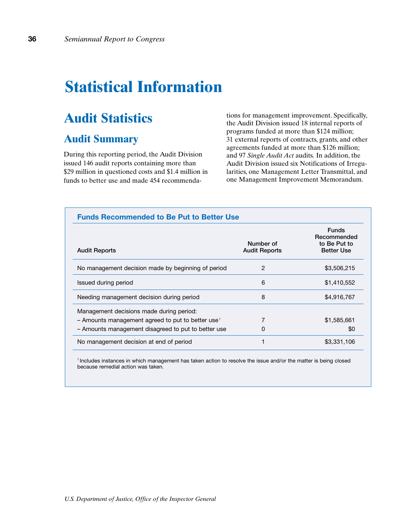## **Statistical Information**

## **Audit Statistics**

## **Audit Summary**

During this reporting period, the Audit Division issued 146 audit reports containing more than \$29 million in questioned costs and \$1.4 million in funds to better use and made 454 recommendations for management improvement. Specifically, the Audit Division issued 18 internal reports of programs funded at more than \$124 million; 31 external reports of contracts, grants, and other agreements funded at more than \$126 million; and 97 *Single Audit Act* audits. In addition, the Audit Division issued six Notifications of Irregularities, one Management Letter Transmittal, and one Management Improvement Memorandum.

| <b>Funds Recommended to Be Put to Better Use</b>                                                            |                                   |                                                                  |
|-------------------------------------------------------------------------------------------------------------|-----------------------------------|------------------------------------------------------------------|
| <b>Audit Reports</b>                                                                                        | Number of<br><b>Audit Reports</b> | <b>Funds</b><br>Recommended<br>to Be Put to<br><b>Better Use</b> |
| No management decision made by beginning of period                                                          | 2                                 | \$3,506,215                                                      |
| Issued during period                                                                                        | 6                                 | \$1,410,552                                                      |
| Needing management decision during period                                                                   | 8                                 | \$4,916,767                                                      |
| Management decisions made during period:<br>$-$ Amounts management agreed to put to better use <sup>1</sup> | $\overline{7}$                    | \$1,585,661                                                      |
| - Amounts management disagreed to put to better use<br>No management decision at end of period              | 0                                 | \$0<br>\$3,331,106                                               |

<sup>1</sup> Includes instances in which management has taken action to resolve the issue and/or the matter is being closed because remedial action was taken.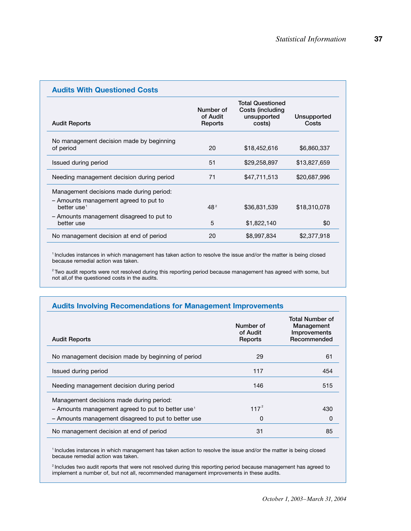| <b>Audits With Questioned Costs</b>                                                                          |                                  |                                                                      |                      |
|--------------------------------------------------------------------------------------------------------------|----------------------------------|----------------------------------------------------------------------|----------------------|
| <b>Audit Reports</b>                                                                                         | Number of<br>of Audit<br>Reports | <b>Total Questioned</b><br>Costs (including<br>unsupported<br>costs) | Unsupported<br>Costs |
| No management decision made by beginning<br>of period                                                        | 20                               | \$18,452,616                                                         | \$6,860,337          |
| Issued during period                                                                                         | 51                               | \$29,258,897                                                         | \$13,827,659         |
| Needing management decision during period                                                                    | 71                               | \$47,711,513                                                         | \$20,687,996         |
| Management decisions made during period:<br>- Amounts management agreed to put to<br>better use <sup>1</sup> | 48 <sup>2</sup>                  | \$36,831,539                                                         | \$18,310,078         |
| - Amounts management disagreed to put to<br>better use                                                       | 5                                | \$1,822,140                                                          | \$0                  |
| No management decision at end of period                                                                      | 20                               | \$8,997,834                                                          | \$2,377,918          |

<sup>1</sup> Includes instances in which management has taken action to resolve the issue and/or the matter is being closed because remedial action was taken.

<sup>2</sup> Two audit reports were not resolved during this reporting period because management has agreed with some, but not all,of the questioned costs in the audits.

|  | <b>Audits Involving Recomendations for Management Improvements</b> |
|--|--------------------------------------------------------------------|
|  |                                                                    |

| <b>Audit Reports</b>                                          | Number of<br>of Audit<br>Reports | Total Number of<br>Management<br>Improvements<br>Recommended |
|---------------------------------------------------------------|----------------------------------|--------------------------------------------------------------|
| No management decision made by beginning of period            | 29                               | 61                                                           |
| Issued during period                                          | 117                              | 454                                                          |
| Needing management decision during period                     | 146                              | 515                                                          |
| Management decisions made during period:                      |                                  |                                                              |
| - Amounts management agreed to put to better use <sup>1</sup> | $117^{2}$                        | 430                                                          |
| - Amounts management disagreed to put to better use           | 0                                | 0                                                            |
| No management decision at end of period                       | 31                               | 85                                                           |

<sup>1</sup> Includes instances in which management has taken action to resolve the issue and/or the matter is being closed because remedial action was taken.

<sup>2</sup> Includes two audit reports that were not resolved during this reporting period because management has agreed to implement a number of, but not all, recommended management improvements in these audits.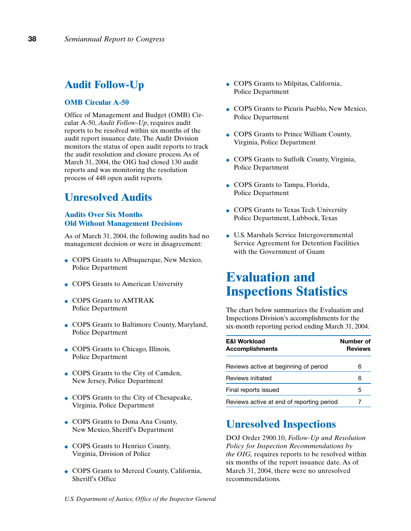## **Audit Follow-Up**

#### **OMB Circular A-50**

Office of Management and Budget (OMB) Circular A-50, *Audit Follow-Up*, requires audit reports to be resolved within six months of the audit report issuance date. The Audit Division monitors the status of open audit reports to track the audit resolution and closure process. As of March 31, 2004, the OIG had closed 130 audit reports and was monitoring the resolution process of 448 open audit reports.

## **Unresolved Audits**

### **Audits Over Six Months Old Without Management Decisions**

As of March 31, 2004, the following audits had no management decision or were in disagreement:

- ◆ COPS Grants to Albuquerque, New Mexico, Police Department
- ◆ COPS Grants to American University
- ◆ COPS Grants to AMTRAK Police Department
- ◆ COPS Grants to Baltimore County, Maryland, Police Department
- ◆ COPS Grants to Chicago, Illinois, Police Department
- ◆ COPS Grants to the City of Camden, New Jersey, Police Department
- ◆ COPS Grants to the City of Chesapeake, Virginia, Police Department
- ◆ COPS Grants to Dona Ana County, New Mexico, Sheriff's Department
- ◆ COPS Grants to Henrico County, Virginia, Division of Police
- ◆ COPS Grants to Merced County, California, Sheriff's Office
- ◆ COPS Grants to Milpitas, California, Police Department
- ◆ COPS Grants to Picuris Pueblo, New Mexico, Police Department
- ◆ COPS Grants to Prince William County, Virginia, Police Department
- ◆ COPS Grants to Suffolk County, Virginia, Police Department
- ◆ COPS Grants to Tampa, Florida, Police Department
- ◆ COPS Grants to Texas Tech University Police Department, Lubbock, Texas
- ◆ U.S. Marshals Service Intergovernmental Service Agreement for Detention Facilities with the Government of Guam

## **Evaluation and Inspections Statistics**

The chart below summarizes the Evaluation and Inspections Division's accomplishments for the six-month reporting period ending March 31, 2004.

| <b>E&amp;I Workload</b><br><b>Accomplishments</b> | Number of<br><b>Reviews</b> |
|---------------------------------------------------|-----------------------------|
| Reviews active at beginning of period             | 6                           |
| Reviews initiated                                 | 6                           |
| Final reports issued                              | 5                           |
| Reviews active at end of reporting period         |                             |

## **Unresolved Inspections**

DOJ Order 2900.10, *Follow-Up and Resolution Policy for Inspection Recommendations by the OIG,* requires reports to be resolved within six months of the report issuance date. As of March 31, 2004, there were no unresolved recommendations.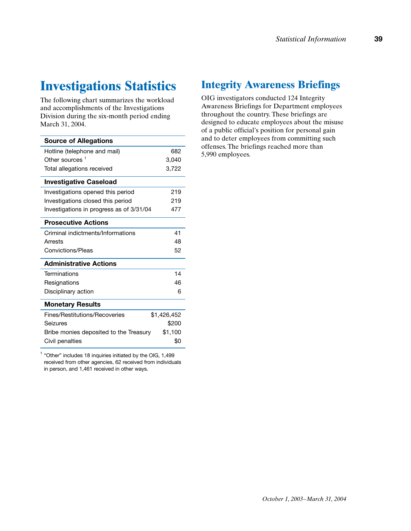## **Investigations Statistics**

The following chart summarizes the workload and accomplishments of the Investigations Division during the six-month period ending March 31, 2004.

| <b>Source of Allegations</b>             |             |
|------------------------------------------|-------------|
| Hotline (telephone and mail)             | 682         |
| Other sources $^1$                       | 3,040       |
| Total allegations received               | 3,722       |
| <b>Investigative Caseload</b>            |             |
| Investigations opened this period        | 219         |
| Investigations closed this period        | 219         |
| Investigations in progress as of 3/31/04 | 477         |
| <b>Prosecutive Actions</b>               |             |
| Criminal indictments/Informations        | 41          |
| Arrests                                  | 48          |
| Convictions/Pleas                        | 52          |
| <b>Administrative Actions</b>            |             |
| Terminations                             | 14          |
| Resignations                             | 46          |
| Disciplinary action                      | 6           |
| <b>Monetary Results</b>                  |             |
| Fines/Restitutions/Recoveries            | \$1,426,452 |
| Seizures                                 | \$200       |
| Bribe monies deposited to the Treasury   | \$1,100     |
| Civil penalties                          | \$0         |

 $^1$  "Other" includes 18 inquiries initiated by the OIG,  $1,499$ received from other agencies, 62 received from individuals in person, and 1,461 received in other ways.

## **Integrity Awareness Briefings**

OIG investigators conducted 124 Integrity Awareness Briefings for Department employees throughout the country. These briefings are designed to educate employees about the misuse of a public official's position for personal gain and to deter employees from committing such offenses. The briefings reached more than 5,990 employees.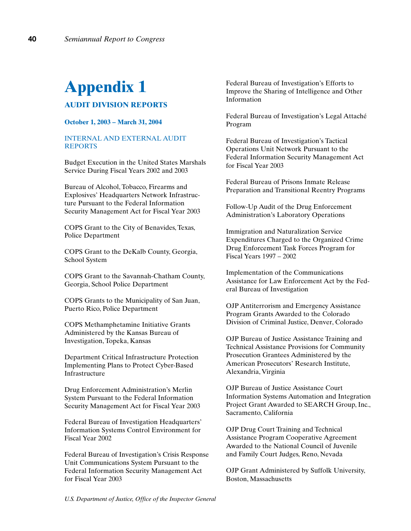# **Appendix 1**

## **AUDIT DIVISION REPORTS**

**October 1, 2003 – March 31, 2004**

#### INTERNAL AND EXTERNAL AUDIT REPORTS

Budget Execution in the United States Marshals Service During Fiscal Years 2002 and 2003

Bureau of Alcohol, Tobacco, Firearms and Explosives' Headquarters Network Infrastructure Pursuant to the Federal Information Security Management Act for Fiscal Year 2003

COPS Grant to the City of Benavides, Texas, Police Department

COPS Grant to the DeKalb County, Georgia, School System

COPS Grant to the Savannah-Chatham County, Georgia, School Police Department

COPS Grants to the Municipality of San Juan, Puerto Rico, Police Department

COPS Methamphetamine Initiative Grants Administered by the Kansas Bureau of Investigation, Topeka, Kansas

Department Critical Infrastructure Protection Implementing Plans to Protect Cyber-Based Infrastructure

Drug Enforcement Administration's Merlin System Pursuant to the Federal Information Security Management Act for Fiscal Year 2003

Federal Bureau of Investigation Headquarters' Information Systems Control Environment for Fiscal Year 2002

Federal Bureau of Investigation's Crisis Response Unit Communications System Pursuant to the Federal Information Security Management Act for Fiscal Year 2003

Federal Bureau of Investigation's Efforts to Improve the Sharing of Intelligence and Other Information

Federal Bureau of Investigation's Legal Attaché Program

Federal Bureau of Investigation's Tactical Operations Unit Network Pursuant to the Federal Information Security Management Act for Fiscal Year 2003

Federal Bureau of Prisons Inmate Release Preparation and Transitional Reentry Programs

Follow-Up Audit of the Drug Enforcement Administration's Laboratory Operations

Immigration and Naturalization Service Expenditures Charged to the Organized Crime Drug Enforcement Task Forces Program for Fiscal Years 1997 – 2002

Implementation of the Communications Assistance for Law Enforcement Act by the Federal Bureau of Investigation

OJP Antiterrorism and Emergency Assistance Program Grants Awarded to the Colorado Division of Criminal Justice, Denver, Colorado

OJP Bureau of Justice Assistance Training and Technical Assistance Provisions for Community Prosecution Grantees Administered by the American Prosecutors' Research Institute, Alexandria, Virginia

OJP Bureau of Justice Assistance Court Information Systems Automation and Integration Project Grant Awarded to SEARCH Group, Inc., Sacramento, California

OJP Drug Court Training and Technical Assistance Program Cooperative Agreement Awarded to the National Council of Juvenile and Family Court Judges, Reno, Nevada

OJP Grant Administered by Suffolk University, Boston, Massachusetts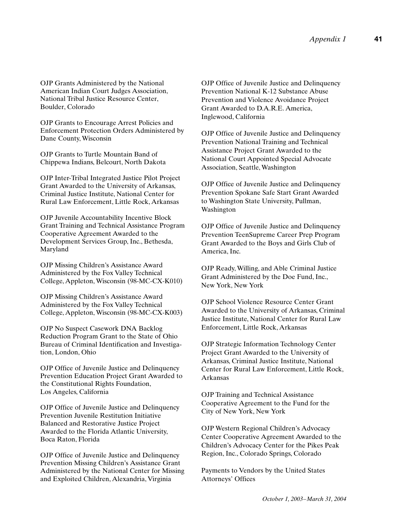OJP Grants Administered by the National American Indian Court Judges Association, National Tribal Justice Resource Center, Boulder, Colorado

OJP Grants to Encourage Arrest Policies and Enforcement Protection Orders Administered by Dane County, Wisconsin

OJP Grants to Turtle Mountain Band of Chippewa Indians, Belcourt, North Dakota

OJP Inter-Tribal Integrated Justice Pilot Project Grant Awarded to the University of Arkansas, Criminal Justice Institute, National Center for Rural Law Enforcement, Little Rock, Arkansas

OJP Juvenile Accountability Incentive Block Grant Training and Technical Assistance Program Cooperative Agreement Awarded to the Development Services Group, Inc., Bethesda, Maryland

OJP Missing Children's Assistance Award Administered by the Fox Valley Technical College, Appleton, Wisconsin (98-MC-CX-K010)

OJP Missing Children's Assistance Award Administered by the Fox Valley Technical College, Appleton, Wisconsin (98-MC-CX-K003)

OJP No Suspect Casework DNA Backlog Reduction Program Grant to the State of Ohio Bureau of Criminal Identification and Investigation, London, Ohio

OJP Office of Juvenile Justice and Delinquency Prevention Education Project Grant Awarded to the Constitutional Rights Foundation, Los Angeles, California

OJP Office of Juvenile Justice and Delinquency Prevention Juvenile Restitution Initiative Balanced and Restorative Justice Project Awarded to the Florida Atlantic University, Boca Raton, Florida

OJP Office of Juvenile Justice and Delinquency Prevention Missing Children's Assistance Grant Administered by the National Center for Missing and Exploited Children, Alexandria, Virginia

OJP Office of Juvenile Justice and Delinquency Prevention National K-12 Substance Abuse Prevention and Violence Avoidance Project Grant Awarded to D.A.R.E. America, Inglewood, California

OJP Office of Juvenile Justice and Delinquency Prevention National Training and Technical Assistance Project Grant Awarded to the National Court Appointed Special Advocate Association, Seattle, Washington

OJP Office of Juvenile Justice and Delinquency Prevention Spokane Safe Start Grant Awarded to Washington State University, Pullman, Washington

OJP Office of Juvenile Justice and Delinquency Prevention TeenSupreme Career Prep Program Grant Awarded to the Boys and Girls Club of America, Inc.

OJP Ready, Willing, and Able Criminal Justice Grant Administered by the Doe Fund, Inc., New York, New York

OJP School Violence Resource Center Grant Awarded to the University of Arkansas, Criminal Justice Institute, National Center for Rural Law Enforcement, Little Rock, Arkansas

OJP Strategic Information Technology Center Project Grant Awarded to the University of Arkansas, Criminal Justice Institute, National Center for Rural Law Enforcement, Little Rock, Arkansas

OJP Training and Technical Assistance Cooperative Agreement to the Fund for the City of New York, New York

OJP Western Regional Children's Advocacy Center Cooperative Agreement Awarded to the Children's Advocacy Center for the Pikes Peak Region, Inc., Colorado Springs, Colorado

Payments to Vendors by the United States Attorneys' Offices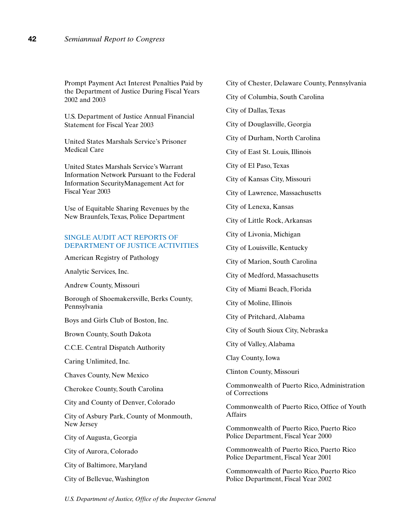Prompt Payment Act Interest Penalties Paid by the Department of Justice During Fiscal Years 2002 and 2003

U.S. Department of Justice Annual Financial Statement for Fiscal Year 2003

United States Marshals Service's Prisoner Medical Care

United States Marshals Service's Warrant Information Network Pursuant to the Federal Information SecurityManagement Act for Fiscal Year 2003

Use of Equitable Sharing Revenues by the New Braunfels, Texas, Police Department

#### SINGLE AUDIT ACT REPORTS OF DEPARTMENT OF JUSTICE ACTIVITIES

American Registry of Pathology

Analytic Services, Inc.

Andrew County, Missouri

Borough of Shoemakersville, Berks County, Pennsylvania

Boys and Girls Club of Boston, Inc.

Brown County, South Dakota

C.C.E. Central Dispatch Authority

Caring Unlimited, Inc.

Chaves County, New Mexico

Cherokee County, South Carolina

City and County of Denver, Colorado

City of Asbury Park, County of Monmouth, New Jersey

City of Augusta, Georgia

City of Aurora, Colorado

City of Baltimore, Maryland

City of Bellevue, Washington

City of Chester, Delaware County, Pennsylvania

City of Columbia, South Carolina

City of Dallas, Texas

City of Douglasville, Georgia

City of Durham, North Carolina

City of East St. Louis, Illinois

City of El Paso, Texas

City of Kansas City, Missouri

City of Lawrence, Massachusetts

City of Lenexa, Kansas

City of Little Rock, Arkansas

City of Livonia, Michigan

City of Louisville, Kentucky

City of Marion, South Carolina

City of Medford, Massachusetts

City of Miami Beach, Florida

City of Moline, Illinois

City of Pritchard, Alabama

City of South Sioux City, Nebraska

City of Valley, Alabama

Clay County, Iowa

Clinton County, Missouri

Commonwealth of Puerto Rico, Administration of Corrections

Commonwealth of Puerto Rico, Office of Youth Affairs

Commonwealth of Puerto Rico, Puerto Rico Police Department, Fiscal Year 2000

Commonwealth of Puerto Rico, Puerto Rico Police Department, Fiscal Year 2001

Commonwealth of Puerto Rico, Puerto Rico Police Department, Fiscal Year 2002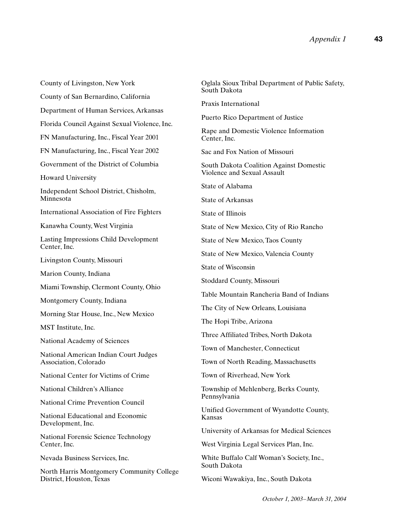County of Livingston, New York County of San Bernardino, California Department of Human Services, Arkansas Florida Council Against Sexual Violence, Inc. FN Manufacturing, Inc., Fiscal Year 2001 FN Manufacturing, Inc., Fiscal Year 2002 Government of the District of Columbia Howard University Independent School District, Chisholm, Minnesota International Association of Fire Fighters Kanawha County, West Virginia Lasting Impressions Child Development Center, Inc. Livingston County, Missouri Marion County, Indiana Miami Township, Clermont County, Ohio Montgomery County, Indiana Morning Star House, Inc., New Mexico MST Institute, Inc. National Academy of Sciences National American Indian Court Judges Association, Colorado National Center for Victims of Crime National Children's Alliance National Crime Prevention Council National Educational and Economic Development, Inc. National Forensic Science Technology Center, Inc. Nevada Business Services, Inc. North Harris Montgomery Community College District, Houston, Texas

Oglala Sioux Tribal Department of Public Safety, South Dakota Praxis International Puerto Rico Department of Justice Rape and Domestic Violence Information Center, Inc. Sac and Fox Nation of Missouri South Dakota Coalition Against Domestic Violence and Sexual Assault State of Alabama State of Arkansas State of Illinois State of New Mexico, City of Rio Rancho State of New Mexico, Taos County State of New Mexico, Valencia County State of Wisconsin Stoddard County, Missouri Table Mountain Rancheria Band of Indians The City of New Orleans, Louisiana The Hopi Tribe, Arizona Three Affiliated Tribes, North Dakota Town of Manchester, Connecticut Town of North Reading, Massachusetts Town of Riverhead, New York Township of Mehlenberg, Berks County, Pennsylvania Unified Government of Wyandotte County, Kansas University of Arkansas for Medical Sciences West Virginia Legal Services Plan, Inc. White Buffalo Calf Woman's Society, Inc., South Dakota Wiconi Wawakiya, Inc., South Dakota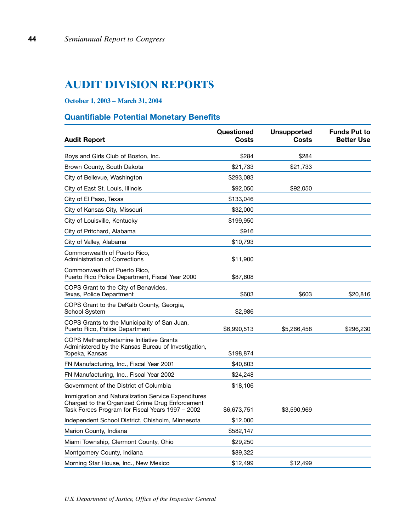## **AUDIT DIVISION REPORTS**

## **October 1, 2003 – March 31, 2004**

## **Quantifiable Potential Monetary Benefits**

| <b>Audit Report</b>                                                                                                                                        | Questioned<br>Costs | <b>Unsupported</b><br>Costs | <b>Funds Put to</b><br><b>Better Use</b> |
|------------------------------------------------------------------------------------------------------------------------------------------------------------|---------------------|-----------------------------|------------------------------------------|
| Boys and Girls Club of Boston, Inc.                                                                                                                        | \$284               | \$284                       |                                          |
| Brown County, South Dakota                                                                                                                                 | \$21,733            | \$21,733                    |                                          |
| City of Bellevue, Washington                                                                                                                               | \$293,083           |                             |                                          |
| City of East St. Louis, Illinois                                                                                                                           | \$92,050            | \$92,050                    |                                          |
| City of El Paso, Texas                                                                                                                                     | \$133,046           |                             |                                          |
| City of Kansas City, Missouri                                                                                                                              | \$32,000            |                             |                                          |
| City of Louisville, Kentucky                                                                                                                               | \$199,950           |                             |                                          |
| City of Pritchard, Alabama                                                                                                                                 | \$916               |                             |                                          |
| City of Valley, Alabama                                                                                                                                    | \$10,793            |                             |                                          |
| Commonwealth of Puerto Rico,<br><b>Administration of Corrections</b>                                                                                       | \$11,900            |                             |                                          |
| Commonwealth of Puerto Rico,<br>Puerto Rico Police Department, Fiscal Year 2000                                                                            | \$87,608            |                             |                                          |
| COPS Grant to the City of Benavides,<br>Texas, Police Department                                                                                           | \$603               | \$603                       | \$20,816                                 |
| COPS Grant to the DeKalb County, Georgia,<br>School System                                                                                                 | \$2,986             |                             |                                          |
| COPS Grants to the Municipality of San Juan,<br>Puerto Rico, Police Department                                                                             | \$6,990,513         | \$5,266,458                 | \$296,230                                |
| <b>COPS Methamphetamine Initiative Grants</b><br>Administered by the Kansas Bureau of Investigation,<br>Topeka, Kansas                                     | \$198,874           |                             |                                          |
| FN Manufacturing, Inc., Fiscal Year 2001                                                                                                                   | \$40,803            |                             |                                          |
| FN Manufacturing, Inc., Fiscal Year 2002                                                                                                                   | \$24,248            |                             |                                          |
| Government of the District of Columbia                                                                                                                     | \$18,106            |                             |                                          |
| Immigration and Naturalization Service Expenditures<br>Charged to the Organized Crime Drug Enforcement<br>Task Forces Program for Fiscal Years 1997 - 2002 | \$6,673,751         | \$3,590,969                 |                                          |
| Independent School District, Chisholm, Minnesota                                                                                                           | \$12,000            |                             |                                          |
| Marion County, Indiana                                                                                                                                     | \$582,147           |                             |                                          |
| Miami Township, Clermont County, Ohio                                                                                                                      | \$29,250            |                             |                                          |
| Montgomery County, Indiana                                                                                                                                 | \$89,322            |                             |                                          |
| Morning Star House, Inc., New Mexico                                                                                                                       | \$12,499            | \$12,499                    |                                          |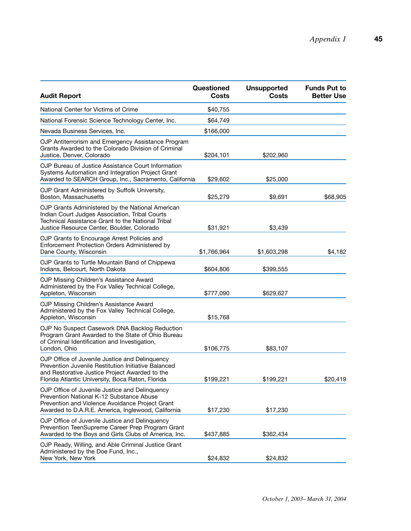| <b>Audit Report</b>                                                                                                                                                                                         | Questioned<br><b>Costs</b> | <b>Unsupported</b><br><b>Costs</b> | <b>Funds Put to</b><br><b>Better Use</b> |
|-------------------------------------------------------------------------------------------------------------------------------------------------------------------------------------------------------------|----------------------------|------------------------------------|------------------------------------------|
| National Center for Victims of Crime                                                                                                                                                                        | \$40,755                   |                                    |                                          |
| National Forensic Science Technology Center, Inc.                                                                                                                                                           | \$64,749                   |                                    |                                          |
| Nevada Business Services, Inc.                                                                                                                                                                              | \$166,000                  |                                    |                                          |
| OJP Antiterrorism and Emergency Assistance Program<br>Grants Awarded to the Colorado Division of Criminal<br>Justice, Denver, Colorado                                                                      | \$204,101                  | \$202,960                          |                                          |
| OJP Bureau of Justice Assistance Court Information<br>Systems Automation and Integration Project Grant<br>Awarded to SEARCH Group, Inc., Sacramento, California                                             | \$29,602                   | \$25,000                           |                                          |
| OJP Grant Administered by Suffolk University,<br>Boston, Massachusetts                                                                                                                                      | \$25,279                   | \$9,691                            | \$68,905                                 |
| OJP Grants Administered by the National American<br>Indian Court Judges Association, Tribal Courts<br>Technical Assistance Grant to the National Tribal<br>Justice Resource Center, Boulder, Colorado       | \$31,921                   | \$3,439                            |                                          |
| OJP Grants to Encourage Arrest Policies and<br>Enforcement Protection Orders Administered by<br>Dane County, Wisconsin                                                                                      | \$1,766,964                | \$1,603,298                        | \$4,182                                  |
| OJP Grants to Turtle Mountain Band of Chippewa<br>Indians, Belcourt, North Dakota                                                                                                                           | \$604,806                  | \$399,555                          |                                          |
| OJP Missing Children's Assistance Award<br>Administered by the Fox Valley Technical College,<br>Appleton, Wisconsin                                                                                         | \$777,090                  | \$629,627                          |                                          |
| OJP Missing Children's Assistance Award<br>Administered by the Fox Valley Technical College,<br>Appleton, Wisconsin                                                                                         | \$15,768                   |                                    |                                          |
| OJP No Suspect Casework DNA Backlog Reduction<br>Program Grant Awarded to the State of Ohio Bureau<br>of Criminal Identification and Investigation,<br>London, Ohio                                         | \$106,775                  | \$83,107                           |                                          |
| OJP Office of Juvenile Justice and Delinquency<br>Prevention Juvenile Restitution Initiative Balanced<br>and Restorative Justice Project Awarded to the<br>Florida Atlantic University, Boca Raton, Florida | \$199,221                  | \$199,221                          | \$20.419                                 |
| OJP Office of Juvenile Justice and Delinquency<br>Prevention National K-12 Substance Abuse<br>Prevention and Violence Avoidance Project Grant<br>Awarded to D.A.R.E. America, Inglewood, California         | \$17,230                   | \$17,230                           |                                          |
| OJP Office of Juvenile Justice and Delinquency<br>Prevention TeenSupreme Career Prep Program Grant<br>Awarded to the Boys and Girls Clubs of America, Inc.                                                  | \$437,885                  | \$362,434                          |                                          |
| OJP Ready, Willing, and Able Criminal Justice Grant<br>Administered by the Doe Fund, Inc.,<br>New York, New York                                                                                            | \$24,832                   | \$24,832                           |                                          |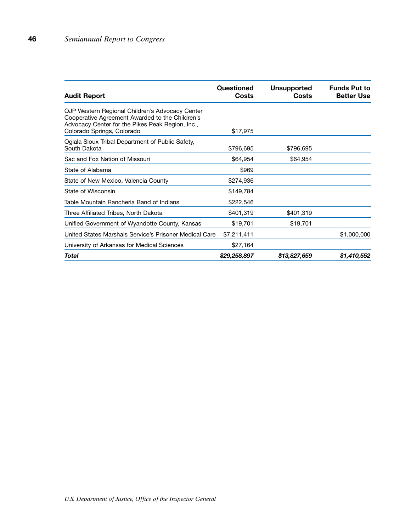| <b>Audit Report</b>                                                                                                                                                                  | Questioned<br>Costs | <b>Unsupported</b><br><b>Costs</b> | <b>Funds Put to</b><br><b>Better Use</b> |
|--------------------------------------------------------------------------------------------------------------------------------------------------------------------------------------|---------------------|------------------------------------|------------------------------------------|
| OJP Western Regional Children's Advocacy Center<br>Cooperative Agreement Awarded to the Children's<br>Advocacy Center for the Pikes Peak Region, Inc.,<br>Colorado Springs, Colorado | \$17,975            |                                    |                                          |
| Oglala Sioux Tribal Department of Public Safety,<br>South Dakota                                                                                                                     | \$796,695           | \$796,695                          |                                          |
| Sac and Fox Nation of Missouri                                                                                                                                                       | \$64,954            | \$64,954                           |                                          |
| State of Alabama                                                                                                                                                                     | \$969               |                                    |                                          |
| State of New Mexico, Valencia County                                                                                                                                                 | \$274,936           |                                    |                                          |
| State of Wisconsin                                                                                                                                                                   | \$149,784           |                                    |                                          |
| Table Mountain Rancheria Band of Indians                                                                                                                                             | \$222,546           |                                    |                                          |
| Three Affiliated Tribes, North Dakota                                                                                                                                                | \$401,319           | \$401,319                          |                                          |
| Unified Government of Wyandotte County, Kansas                                                                                                                                       | \$19,701            | \$19,701                           |                                          |
| United States Marshals Service's Prisoner Medical Care                                                                                                                               | \$7,211,411         |                                    | \$1,000,000                              |
| University of Arkansas for Medical Sciences                                                                                                                                          | \$27,164            |                                    |                                          |
| Total                                                                                                                                                                                | \$29,258,897        | \$13,827,659                       | \$1,410,552                              |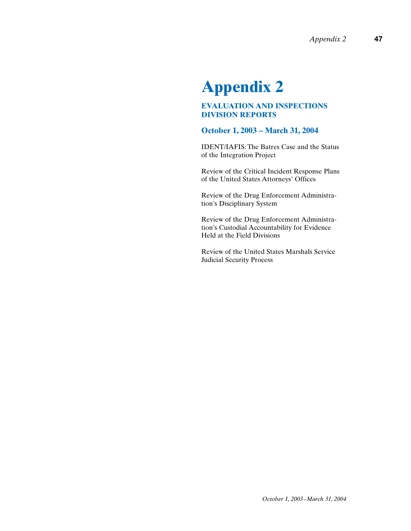# **Appendix 2**

## **EVALUATION AND INSPECTIONS DIVISION REPORTS**

## **October 1, 2003 – March 31, 2004**

IDENT/IAFIS: The Batres Case and the Status of the Integration Project

Review of the Critical Incident Response Plans of the United States Attorneys' Offices

Review of the Drug Enforcement Administration's Disciplinary System

Review of the Drug Enforcement Administration's Custodial Accountability for Evidence Held at the Field Divisions

Review of the United States Marshals Service Judicial Security Process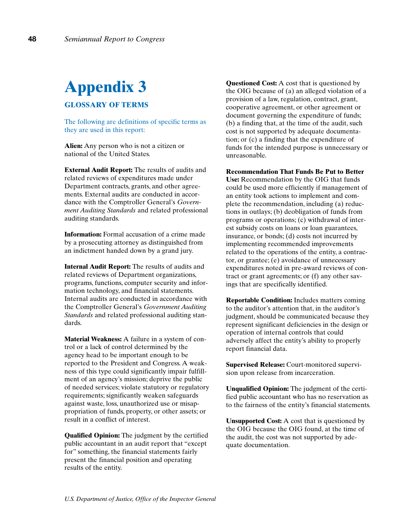## **Appendix 3 GLOSSARY OF TERMS**

The following are definitions of specific terms as they are used in this report:

**Alien:** Any person who is not a citizen or national of the United States.

**External Audit Report:** The results of audits and related reviews of expenditures made under Department contracts, grants, and other agreements. External audits are conducted in accordance with the Comptroller General's *Government Auditing Standards* and related professional auditing standards.

**Information:** Formal accusation of a crime made by a prosecuting attorney as distinguished from an indictment handed down by a grand jury.

**Internal Audit Report:** The results of audits and related reviews of Department organizations, programs, functions, computer security and information technology, and financial statements. Internal audits are conducted in accordance with the Comptroller General's *Government Auditing Standards* and related professional auditing standards.

**Material Weakness:** A failure in a system of control or a lack of control determined by the agency head to be important enough to be reported to the President and Congress. A weakness of this type could significantly impair fulfillment of an agency's mission; deprive the public of needed services; violate statutory or regulatory requirements; significantly weaken safeguards against waste, loss, unauthorized use or misappropriation of funds, property, or other assets; or result in a conflict of interest.

**Qualified Opinion:** The judgment by the certified public accountant in an audit report that "except for" something, the financial statements fairly present the financial position and operating results of the entity.

**Questioned Cost:** A cost that is questioned by the OIG because of (a) an alleged violation of a provision of a law, regulation, contract, grant, cooperative agreement, or other agreement or document governing the expenditure of funds; (b) a finding that, at the time of the audit, such cost is not supported by adequate documentation; or (c) a finding that the expenditure of funds for the intended purpose is unnecessary or unreasonable.

**Recommendation That Funds Be Put to Better Use:** Recommendation by the OIG that funds could be used more efficiently if management of an entity took actions to implement and complete the recommendation, including (a) reductions in outlays; (b) deobligation of funds from programs or operations; (c) withdrawal of interest subsidy costs on loans or loan guarantees, insurance, or bonds; (d) costs not incurred by implementing recommended improvements related to the operations of the entity, a contractor, or grantee; (e) avoidance of unnecessary expenditures noted in pre-award reviews of contract or grant agreements; or (f) any other savings that are specifically identified.

**Reportable Condition:** Includes matters coming to the auditor's attention that, in the auditor's judgment, should be communicated because they represent significant deficiencies in the design or operation of internal controls that could adversely affect the entity's ability to properly report financial data.

**Supervised Release:** Court-monitored supervision upon release from incarceration.

**Unqualified Opinion:** The judgment of the certified public accountant who has no reservation as to the fairness of the entity's financial statements.

**Unsupported Cost:** A cost that is questioned by the OIG because the OIG found, at the time of the audit, the cost was not supported by adequate documentation.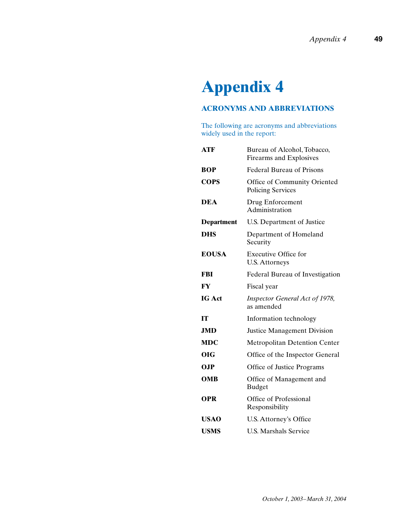# **Appendix 4**

## **ACRONYMS AND ABBREVIATIONS**

The following are acronyms and abbreviations widely used in the report:

| <b>ATF</b>        | Bureau of Alcohol, Tobacco,<br>Firearms and Explosives   |  |
|-------------------|----------------------------------------------------------|--|
| <b>BOP</b>        | <b>Federal Bureau of Prisons</b>                         |  |
| <b>COPS</b>       | Office of Community Oriented<br><b>Policing Services</b> |  |
| <b>DEA</b>        | Drug Enforcement<br>Administration                       |  |
| <b>Department</b> | U.S. Department of Justice                               |  |
| <b>DHS</b>        | Department of Homeland<br>Security                       |  |
| <b>EOUSA</b>      | <b>Executive Office for</b><br><b>U.S. Attorneys</b>     |  |
| FBI               | Federal Bureau of Investigation                          |  |
| FY                | Fiscal year                                              |  |
| <b>IG Act</b>     | Inspector General Act of 1978,<br>as amended             |  |
| IТ                | Information technology                                   |  |
| <b>JMD</b>        | <b>Justice Management Division</b>                       |  |
| <b>MDC</b>        | <b>Metropolitan Detention Center</b>                     |  |
| OIG               | Office of the Inspector General                          |  |
| <b>OJP</b>        | Office of Justice Programs                               |  |
| <b>OMB</b>        | Office of Management and<br><b>Budget</b>                |  |
| <b>OPR</b>        | Office of Professional<br>Responsibility                 |  |
| <b>USAO</b>       | U.S. Attorney's Office                                   |  |
| <b>USMS</b>       | <b>U.S. Marshals Service</b>                             |  |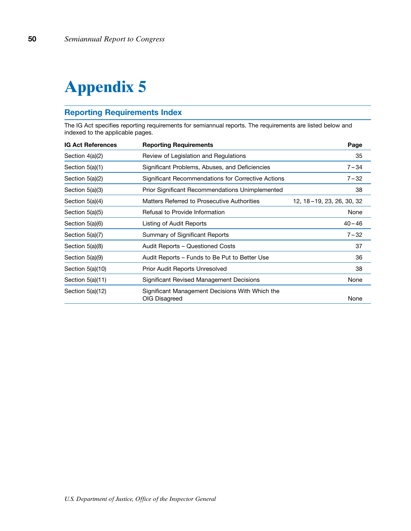# **Appendix 5**

## **Reporting Requirements Index**

The IG Act specifies reporting requirements for semiannual reports. The requirements are listed below and indexed to the applicable pages.

| <b>IG Act References</b> | <b>Reporting Requirements</b>                                    | Page                      |
|--------------------------|------------------------------------------------------------------|---------------------------|
| Section 4(a)(2)          | Review of Legislation and Regulations                            | 35                        |
| Section 5(a)(1)          | Significant Problems, Abuses, and Deficiencies                   | $7 - 34$                  |
| Section 5(a)(2)          | Significant Recommendations for Corrective Actions               | $7 - 32$                  |
| Section 5(a)(3)          | <b>Prior Significant Recommendations Unimplemented</b>           | 38                        |
| Section 5(a)(4)          | Matters Referred to Prosecutive Authorities                      | 12, 18-19, 23, 26, 30, 32 |
| Section 5(a)(5)          | Refusal to Provide Information                                   | None                      |
| Section 5(a)(6)          | Listing of Audit Reports                                         | $40 - 46$                 |
| Section 5(a)(7)          | Summary of Significant Reports                                   | $7 - 32$                  |
| Section 5(a)(8)          | Audit Reports – Questioned Costs                                 | 37                        |
| Section 5(a)(9)          | Audit Reports – Funds to Be Put to Better Use                    | 36                        |
| Section 5(a)(10)         | Prior Audit Reports Unresolved                                   | 38                        |
| Section 5(a)(11)         | Significant Revised Management Decisions                         | None                      |
| Section 5(a)(12)         | Significant Management Decisions With Which the<br>OIG Disagreed | None                      |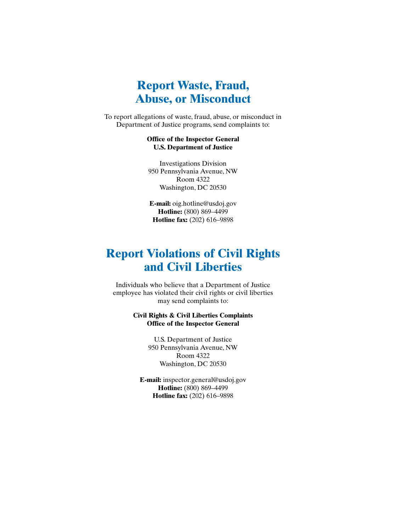## **Report Waste, Fraud, Abuse, or Misconduct**

To report allegations of waste, fraud, abuse, or misconduct in Department of Justice programs, send complaints to:

#### **Office of the Inspector General U.S. Department of Justice**

Investigations Division 950 Pennsylvania Avenue, NW Room 4322 Washington, DC 20530

**E-mail:** oig.hotline@usdoj.gov **Hotline:** (800) 869–4499 **Hotline fax:** (202) 616–9898

## **Report Violations of Civil Rights and Civil Liberties**

Individuals who believe that a Department of Justice employee has violated their civil rights or civil liberties may send complaints to:

#### **Civil Rights & Civil Liberties Complaints Office of the Inspector General**

U.S. Department of Justice 950 Pennsylvania Avenue, NW Room 4322 Washington, DC 20530

**E-mail:** inspector.general@usdoj.gov **Hotline:** (800) 869–4499 **Hotline fax:** (202) 616–9898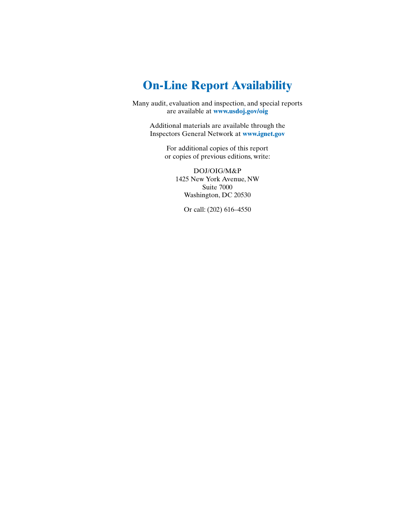## **On-Line Report Availability**

Many audit, evaluation and inspection, and special reports are available at **www.usdoj.gov/oig**

> Additional materials are available through the Inspectors General Network at **www.ignet.gov**

> > For additional copies of this report or copies of previous editions, write:

DOJ/OIG/M&P 1425 New York Avenue, NW Suite 7000 Washington, DC 20530

Or call: (202) 616–4550